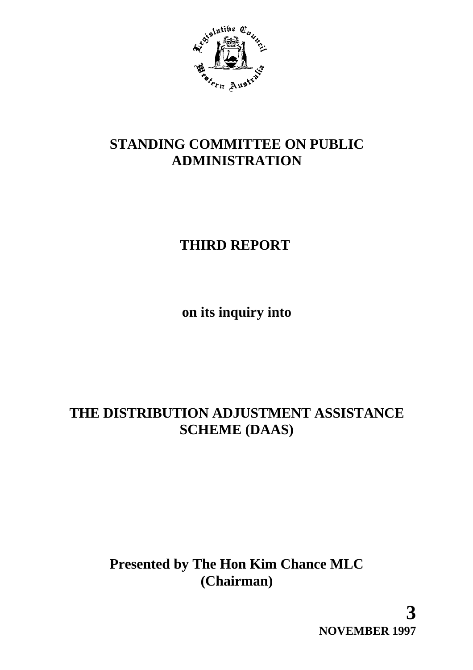

# **STANDING COMMITTEE ON PUBLIC ADMINISTRATION**

# **THIRD REPORT**

**on its inquiry into**

# **THE DISTRIBUTION ADJUSTMENT ASSISTANCE SCHEME (DAAS)**

# **Presented by The Hon Kim Chance MLC (Chairman)**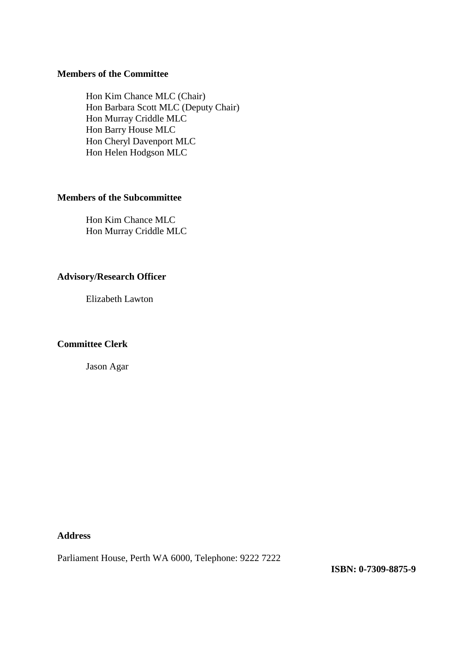#### **Members of the Committee**

Hon Kim Chance MLC (Chair) Hon Barbara Scott MLC (Deputy Chair) Hon Murray Criddle MLC Hon Barry House MLC Hon Cheryl Davenport MLC Hon Helen Hodgson MLC

#### **Members of the Subcommittee**

Hon Kim Chance MLC Hon Murray Criddle MLC

#### **Advisory/Research Officer**

Elizabeth Lawton

#### **Committee Clerk**

Jason Agar

**Address**

Parliament House, Perth WA 6000, Telephone: 9222 7222

**ISBN: 0-7309-8875-9**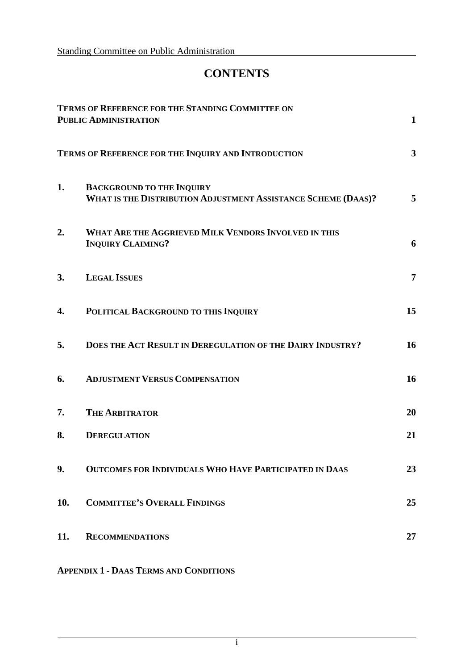# **CONTENTS**

|     | TERMS OF REFERENCE FOR THE STANDING COMMITTEE ON<br><b>PUBLIC ADMINISTRATION</b>                  | $\mathbf{1}$   |
|-----|---------------------------------------------------------------------------------------------------|----------------|
|     | TERMS OF REFERENCE FOR THE INQUIRY AND INTRODUCTION                                               | $\mathbf{3}$   |
| 1.  | <b>BACKGROUND TO THE INQUIRY</b><br>WHAT IS THE DISTRIBUTION ADJUSTMENT ASSISTANCE SCHEME (DAAS)? | 5              |
| 2.  | WHAT ARE THE AGGRIEVED MILK VENDORS INVOLVED IN THIS<br><b>INQUIRY CLAIMING?</b>                  | 6              |
| 3.  | <b>LEGAL ISSUES</b>                                                                               | $\overline{7}$ |
| 4.  | POLITICAL BACKGROUND TO THIS INQUIRY                                                              | 15             |
| 5.  | DOES THE ACT RESULT IN DEREGULATION OF THE DAIRY INDUSTRY?                                        | 16             |
| 6.  | <b>ADJUSTMENT VERSUS COMPENSATION</b>                                                             | 16             |
| 7.  | <b>THE ARBITRATOR</b>                                                                             | 20             |
| 8.  | <b>DEREGULATION</b>                                                                               | 21             |
| 9.  | OUTCOMES FOR INDIVIDUALS WHO HAVE PARTICIPATED IN DAAS                                            | 23             |
| 10. | <b>COMMITTEE'S OVERALL FINDINGS</b>                                                               | 25             |
| 11. | <b>RECOMMENDATIONS</b>                                                                            | 27             |

**APPENDIX 1 - DAAS TERMS AND CONDITIONS**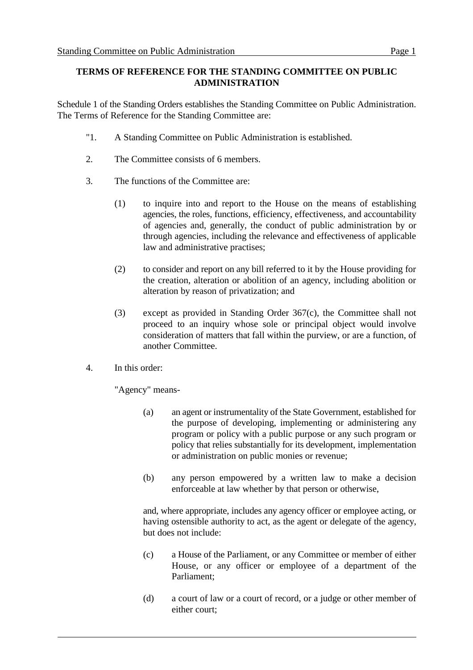#### **TERMS OF REFERENCE FOR THE STANDING COMMITTEE ON PUBLIC ADMINISTRATION**

Schedule 1 of the Standing Orders establishes the Standing Committee on Public Administration. The Terms of Reference for the Standing Committee are:

- "1. A Standing Committee on Public Administration is established.
- 2. The Committee consists of 6 members.
- 3. The functions of the Committee are:
	- (1) to inquire into and report to the House on the means of establishing agencies, the roles, functions, efficiency, effectiveness, and accountability of agencies and, generally, the conduct of public administration by or through agencies, including the relevance and effectiveness of applicable law and administrative practises;
	- (2) to consider and report on any bill referred to it by the House providing for the creation, alteration or abolition of an agency, including abolition or alteration by reason of privatization; and
	- (3) except as provided in Standing Order 367(c), the Committee shall not proceed to an inquiry whose sole or principal object would involve consideration of matters that fall within the purview, or are a function, of another Committee.
- 4. In this order:

"Agency" means-

- (a) an agent or instrumentality of the State Government, established for the purpose of developing, implementing or administering any program or policy with a public purpose or any such program or policy that relies substantially for its development, implementation or administration on public monies or revenue;
- (b) any person empowered by a written law to make a decision enforceable at law whether by that person or otherwise,

and, where appropriate, includes any agency officer or employee acting, or having ostensible authority to act, as the agent or delegate of the agency, but does not include:

- (c) a House of the Parliament, or any Committee or member of either House, or any officer or employee of a department of the Parliament;
- (d) a court of law or a court of record, or a judge or other member of either court;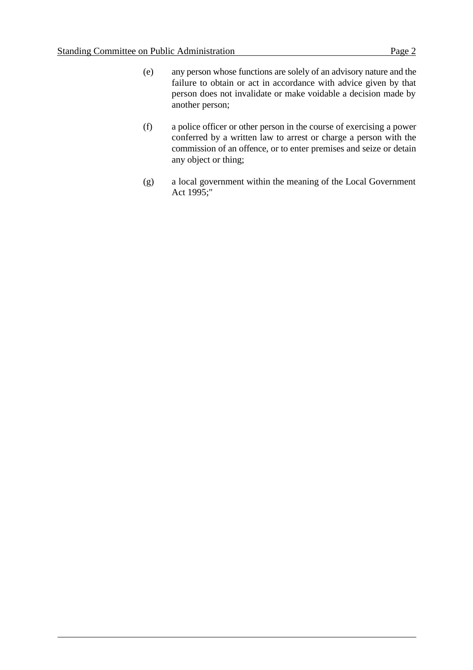- (e) any person whose functions are solely of an advisory nature and the failure to obtain or act in accordance with advice given by that person does not invalidate or make voidable a decision made by another person;
- (f) a police officer or other person in the course of exercising a power conferred by a written law to arrest or charge a person with the commission of an offence, or to enter premises and seize or detain any object or thing;
- (g) a local government within the meaning of the Local Government Act 1995;"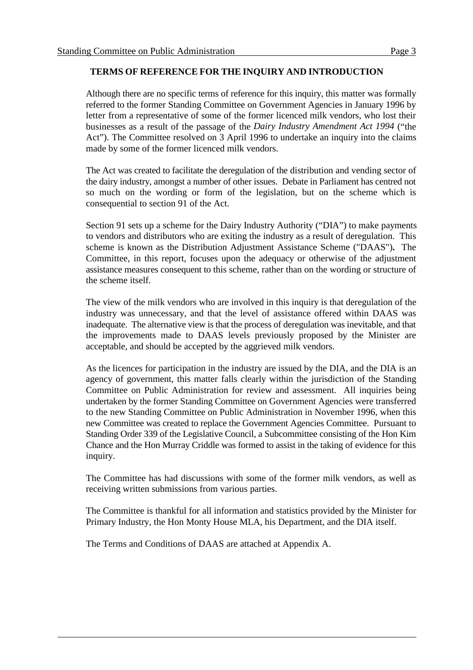#### **TERMS OF REFERENCE FOR THE INQUIRY AND INTRODUCTION**

Although there are no specific terms of reference for this inquiry, this matter was formally referred to the former Standing Committee on Government Agencies in January 1996 by letter from a representative of some of the former licenced milk vendors, who lost their businesses as a result of the passage of the *Dairy Industry Amendment Act 1994* ("the Act"). The Committee resolved on 3 April 1996 to undertake an inquiry into the claims made by some of the former licenced milk vendors.

The Act was created to facilitate the deregulation of the distribution and vending sector of the dairy industry, amongst a number of other issues. Debate in Parliament has centred not so much on the wording or form of the legislation, but on the scheme which is consequential to section 91 of the Act.

Section 91 sets up a scheme for the Dairy Industry Authority ("DIA") to make payments to vendors and distributors who are exiting the industry as a result of deregulation. This scheme is known as the Distribution Adjustment Assistance Scheme ("DAAS")**.** The Committee, in this report, focuses upon the adequacy or otherwise of the adjustment assistance measures consequent to this scheme, rather than on the wording or structure of the scheme itself.

The view of the milk vendors who are involved in this inquiry is that deregulation of the industry was unnecessary, and that the level of assistance offered within DAAS was inadequate. The alternative view is that the process of deregulation was inevitable, and that the improvements made to DAAS levels previously proposed by the Minister are acceptable, and should be accepted by the aggrieved milk vendors.

As the licences for participation in the industry are issued by the DIA, and the DIA is an agency of government, this matter falls clearly within the jurisdiction of the Standing Committee on Public Administration for review and assessment. All inquiries being undertaken by the former Standing Committee on Government Agencies were transferred to the new Standing Committee on Public Administration in November 1996, when this new Committee was created to replace the Government Agencies Committee. Pursuant to Standing Order 339 of the Legislative Council, a Subcommittee consisting of the Hon Kim Chance and the Hon Murray Criddle was formed to assist in the taking of evidence for this inquiry.

The Committee has had discussions with some of the former milk vendors, as well as receiving written submissions from various parties.

The Committee is thankful for all information and statistics provided by the Minister for Primary Industry, the Hon Monty House MLA, his Department, and the DIA itself.

The Terms and Conditions of DAAS are attached at Appendix A.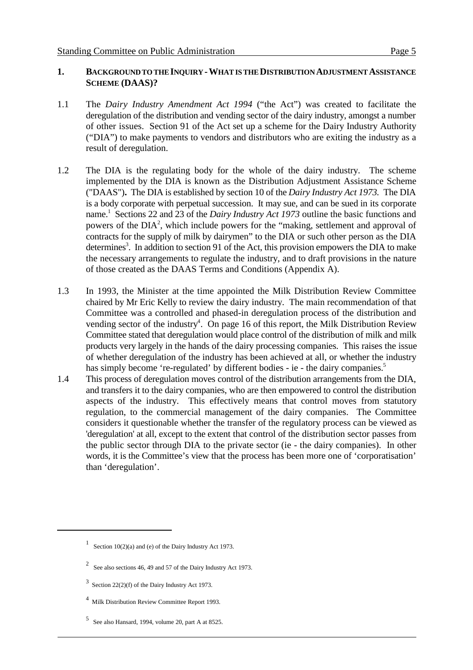#### **1. BACKGROUND TO THE INQUIRY -WHAT IS THE DISTRIBUTION ADJUSTMENT ASSISTANCE SCHEME (DAAS)?**

- 1.1 The *Dairy Industry Amendment Act 1994* ("the Act") was created to facilitate the deregulation of the distribution and vending sector of the dairy industry, amongst a number of other issues. Section 91 of the Act set up a scheme for the Dairy Industry Authority ("DIA") to make payments to vendors and distributors who are exiting the industry as a result of deregulation.
- 1.2 The DIA is the regulating body for the whole of the dairy industry. The scheme implemented by the DIA is known as the Distribution Adjustment Assistance Scheme ("DAAS")**.** The DIA is established by section 10 of the *Dairy Industry Act 1973.* The DIA is a body corporate with perpetual succession. It may sue, and can be sued in its corporate name.<sup>1</sup> Sections 22 and 23 of the *Dairy Industry Act 1973* outline the basic functions and powers of the  $DIA<sup>2</sup>$ , which include powers for the "making, settlement and approval of contracts for the supply of milk by dairymen" to the DIA or such other person as the DIA determines<sup>3</sup>. In addition to section 91 of the Act, this provision empowers the DIA to make the necessary arrangements to regulate the industry, and to draft provisions in the nature of those created as the DAAS Terms and Conditions (Appendix A).
- 1.3 In 1993, the Minister at the time appointed the Milk Distribution Review Committee chaired by Mr Eric Kelly to review the dairy industry. The main recommendation of that Committee was a controlled and phased-in deregulation process of the distribution and vending sector of the industry<sup>4</sup>. On page 16 of this report, the Milk Distribution Review Committee stated that deregulation would place control of the distribution of milk and milk products very largely in the hands of the dairy processing companies. This raises the issue of whether deregulation of the industry has been achieved at all, or whether the industry has simply become 're-regulated' by different bodies - ie - the dairy companies.<sup>5</sup>
- 1.4 This process of deregulation moves control of the distribution arrangements from the DIA, and transfers it to the dairy companies, who are then empowered to control the distribution aspects of the industry. This effectively means that control moves from statutory regulation, to the commercial management of the dairy companies. The Committee considers it questionable whether the transfer of the regulatory process can be viewed as 'deregulation' at all, except to the extent that control of the distribution sector passes from the public sector through DIA to the private sector (ie - the dairy companies). In other words, it is the Committee's view that the process has been more one of 'corporatisation' than 'deregulation'.

 $5$  See also Hansard, 1994, volume 20, part A at 8525.

<sup>&</sup>lt;sup>1</sup> Section 10(2)(a) and (e) of the Dairy Industry Act 1973.

<sup>&</sup>lt;sup>2</sup> See also sections 46, 49 and 57 of the Dairy Industry Act 1973.

 $3$  Section 22(2)(f) of the Dairy Industry Act 1973.

<sup>&</sup>lt;sup>4</sup> Milk Distribution Review Committee Report 1993.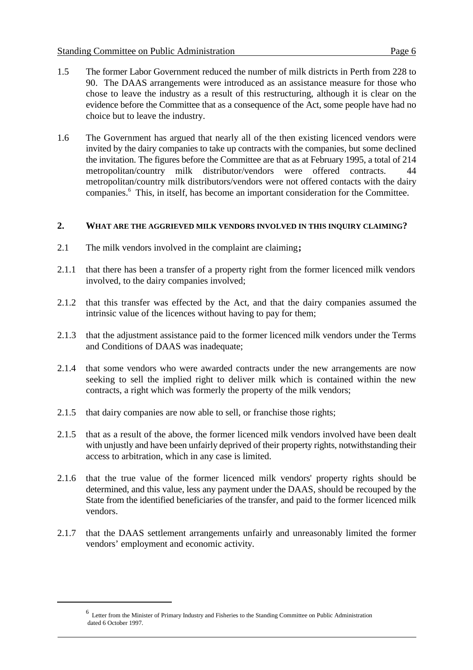- 1.5 The former Labor Government reduced the number of milk districts in Perth from 228 to 90. The DAAS arrangements were introduced as an assistance measure for those who chose to leave the industry as a result of this restructuring, although it is clear on the evidence before the Committee that as a consequence of the Act, some people have had no choice but to leave the industry.
- 1.6 The Government has argued that nearly all of the then existing licenced vendors were invited by the dairy companies to take up contracts with the companies, but some declined the invitation. The figures before the Committee are that as at February 1995, a total of 214 metropolitan/country milk distributor/vendors were offered contracts. 44 metropolitan/country milk distributors/vendors were not offered contacts with the dairy companies.<sup>6</sup> This, in itself, has become an important consideration for the Committee.

#### **2. WHAT ARE THE AGGRIEVED MILK VENDORS INVOLVED IN THIS INQUIRY CLAIMING?**

- 2.1 The milk vendors involved in the complaint are claiming**;**
- 2.1.1 that there has been a transfer of a property right from the former licenced milk vendors involved, to the dairy companies involved;
- 2.1.2 that this transfer was effected by the Act, and that the dairy companies assumed the intrinsic value of the licences without having to pay for them;
- 2.1.3 that the adjustment assistance paid to the former licenced milk vendors under the Terms and Conditions of DAAS was inadequate;
- 2.1.4 that some vendors who were awarded contracts under the new arrangements are now seeking to sell the implied right to deliver milk which is contained within the new contracts, a right which was formerly the property of the milk vendors;
- 2.1.5 that dairy companies are now able to sell, or franchise those rights;
- 2.1.5 that as a result of the above, the former licenced milk vendors involved have been dealt with unjustly and have been unfairly deprived of their property rights, notwithstanding their access to arbitration, which in any case is limited.
- 2.1.6 that the true value of the former licenced milk vendors' property rights should be determined, and this value, less any payment under the DAAS, should be recouped by the State from the identified beneficiaries of the transfer, and paid to the former licenced milk vendors.
- 2.1.7 that the DAAS settlement arrangements unfairly and unreasonably limited the former vendors' employment and economic activity.

Letter from the Minister of Primary Industry and Fisheries to the Standing Committee on Public Administration <sup>6</sup> dated 6 October 1997.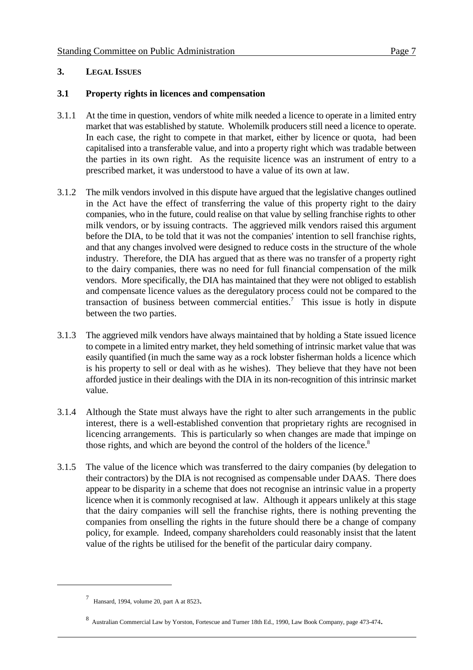#### **3. LEGAL ISSUES**

#### **3.1 Property rights in licences and compensation**

- 3.1.1 At the time in question, vendors of white milk needed a licence to operate in a limited entry market that was established by statute. Wholemilk producers still need a licence to operate. In each case, the right to compete in that market, either by licence or quota, had been capitalised into a transferable value, and into a property right which was tradable between the parties in its own right. As the requisite licence was an instrument of entry to a prescribed market, it was understood to have a value of its own at law.
- 3.1.2 The milk vendors involved in this dispute have argued that the legislative changes outlined in the Act have the effect of transferring the value of this property right to the dairy companies, who in the future, could realise on that value by selling franchise rights to other milk vendors, or by issuing contracts. The aggrieved milk vendors raised this argument before the DIA, to be told that it was not the companies' intention to sell franchise rights, and that any changes involved were designed to reduce costs in the structure of the whole industry. Therefore, the DIA has argued that as there was no transfer of a property right to the dairy companies, there was no need for full financial compensation of the milk vendors. More specifically, the DIA has maintained that they were not obliged to establish and compensate licence values as the deregulatory process could not be compared to the transaction of business between commercial entities.<sup>7</sup> This issue is hotly in dispute between the two parties.
- 3.1.3 The aggrieved milk vendors have always maintained that by holding a State issued licence to compete in a limited entry market, they held something of intrinsic market value that was easily quantified (in much the same way as a rock lobster fisherman holds a licence which is his property to sell or deal with as he wishes). They believe that they have not been afforded justice in their dealings with the DIA in its non-recognition of this intrinsic market value.
- 3.1.4 Although the State must always have the right to alter such arrangements in the public interest, there is a well-established convention that proprietary rights are recognised in licencing arrangements. This is particularly so when changes are made that impinge on those rights, and which are beyond the control of the holders of the licence.<sup>8</sup>
- 3.1.5 The value of the licence which was transferred to the dairy companies (by delegation to their contractors) by the DIA is not recognised as compensable under DAAS. There does appear to be disparity in a scheme that does not recognise an intrinsic value in a property licence when it is commonly recognised at law. Although it appears unlikely at this stage that the dairy companies will sell the franchise rights, there is nothing preventing the companies from onselling the rights in the future should there be a change of company policy, for example. Indeed, company shareholders could reasonably insist that the latent value of the rights be utilised for the benefit of the particular dairy company.

 $\frac{7}{1}$  Hansard, 1994, volume 20, part A at 8523.

Australian Commercial Law by Yorston, Fortescue and Turner 18th Ed., 1990, Law Book Company, page 473-474. <sup>8</sup>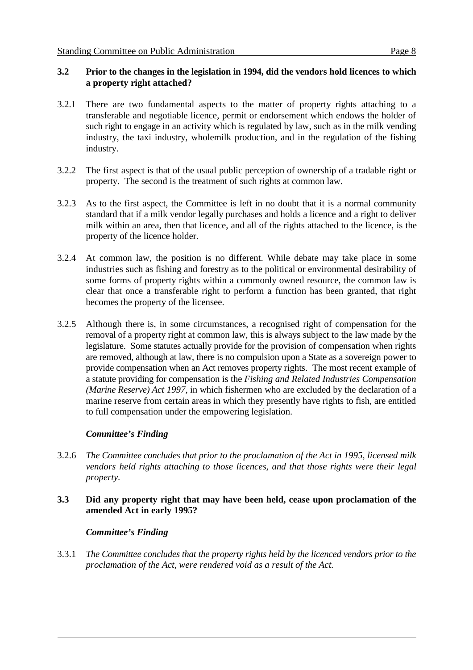#### **3.2 Prior to the changes in the legislation in 1994, did the vendors hold licences to which a property right attached?**

- 3.2.1 There are two fundamental aspects to the matter of property rights attaching to a transferable and negotiable licence, permit or endorsement which endows the holder of such right to engage in an activity which is regulated by law, such as in the milk vending industry, the taxi industry, wholemilk production, and in the regulation of the fishing industry.
- 3.2.2 The first aspect is that of the usual public perception of ownership of a tradable right or property. The second is the treatment of such rights at common law.
- 3.2.3 As to the first aspect, the Committee is left in no doubt that it is a normal community standard that if a milk vendor legally purchases and holds a licence and a right to deliver milk within an area, then that licence, and all of the rights attached to the licence, is the property of the licence holder.
- 3.2.4 At common law, the position is no different. While debate may take place in some industries such as fishing and forestry as to the political or environmental desirability of some forms of property rights within a commonly owned resource, the common law is clear that once a transferable right to perform a function has been granted, that right becomes the property of the licensee.
- 3.2.5 Although there is, in some circumstances, a recognised right of compensation for the removal of a property right at common law, this is always subject to the law made by the legislature. Some statutes actually provide for the provision of compensation when rights are removed, although at law, there is no compulsion upon a State as a sovereign power to provide compensation when an Act removes property rights. The most recent example of a statute providing for compensation is the *Fishing and Related Industries Compensation (Marine Reserve) Act 1997,* in which fishermen who are excluded by the declaration of a marine reserve from certain areas in which they presently have rights to fish, are entitled to full compensation under the empowering legislation.

#### *Committee's Finding*

3.2.6 *The Committee concludes that prior to the proclamation of the Act in 1995, licensed milk vendors held rights attaching to those licences, and that those rights were their legal property.* 

#### **3.3 Did any property right that may have been held, cease upon proclamation of the amended Act in early 1995?**

#### *Committee's Finding*

3.3.1 *The Committee concludes that the property rights held by the licenced vendors prior to the proclamation of the Act, were rendered void as a result of the Act.*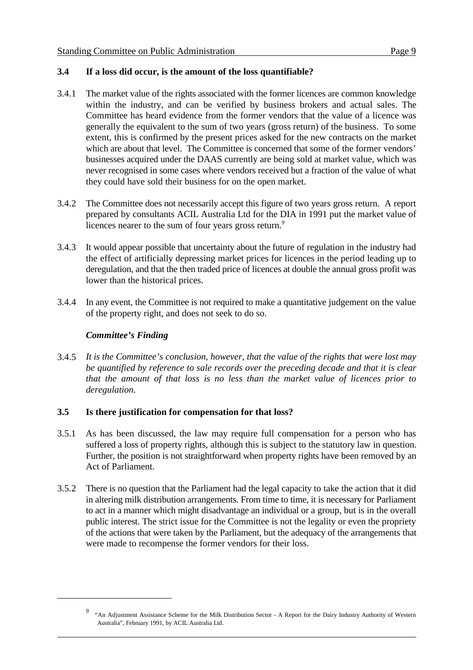#### **3.4 If a loss did occur, is the amount of the loss quantifiable?**

- 3.4.1 The market value of the rights associated with the former licences are common knowledge within the industry, and can be verified by business brokers and actual sales. The Committee has heard evidence from the former vendors that the value of a licence was generally the equivalent to the sum of two years (gross return) of the business. To some extent, this is confirmed by the present prices asked for the new contracts on the market which are about that level. The Committee is concerned that some of the former vendors' businesses acquired under the DAAS currently are being sold at market value, which was never recognised in some cases where vendors received but a fraction of the value of what they could have sold their business for on the open market.
- 3.4.2 The Committee does not necessarily accept this figure of two years gross return. A report prepared by consultants ACIL Australia Ltd for the DIA in 1991 put the market value of licences nearer to the sum of four years gross return.<sup>9</sup>
- 3.4.3 It would appear possible that uncertainty about the future of regulation in the industry had the effect of artificially depressing market prices for licences in the period leading up to deregulation, and that the then traded price of licences at double the annual gross profit was lower than the historical prices.
- 3.4.4 In any event, the Committee is not required to make a quantitative judgement on the value of the property right, and does not seek to do so.

#### *Committee's Finding*

3.4.5 *It is the Committee's conclusion, however, that the value of the rights that were lost may be quantified by reference to sale records over the preceding decade and that it is clear that the amount of that loss is no less than the market value of licences prior to deregulation.*

#### **3.5 Is there justification for compensation for that loss?**

- 3.5.1 As has been discussed, the law may require full compensation for a person who has suffered a loss of property rights, although this is subject to the statutory law in question. Further, the position is not straightforward when property rights have been removed by an Act of Parliament.
- 3.5.2 There is no question that the Parliament had the legal capacity to take the action that it did in altering milk distribution arrangements. From time to time, it is necessary for Parliament to act in a manner which might disadvantage an individual or a group, but is in the overall public interest. The strict issue for the Committee is not the legality or even the propriety of the actions that were taken by the Parliament, but the adequacy of the arrangements that were made to recompense the former vendors for their loss.

<sup>&</sup>lt;sup>9</sup> "An Adjustment Assistance Scheme for the Milk Distribution Sector - A Report for the Dairy Industry Authority of Western Australia", February 1991, by ACIL Australia Ltd.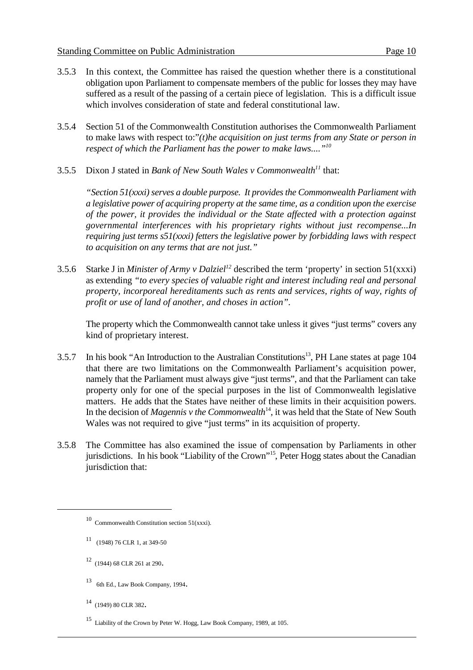- 3.5.3 In this context, the Committee has raised the question whether there is a constitutional obligation upon Parliament to compensate members of the public for losses they may have suffered as a result of the passing of a certain piece of legislation. This is a difficult issue which involves consideration of state and federal constitutional law.
- 3.5.4 Section 51 of the Commonwealth Constitution authorises the Commonwealth Parliament to make laws with respect to:"*(t)he acquisition on just terms from any State or person in respect of which the Parliament has the power to make laws...."10*
- 3.5.5 Dixon J stated in *Bank of New South Wales v Commonwealth*<sup>11</sup> that:

*"Section 51(xxxi) serves a double purpose. It provides the Commonwealth Parliament with a legislative power of acquiring property at the same time, as a condition upon the exercise of the power, it provides the individual or the State affected with a protection against governmental interferences with his proprietary rights without just recompense...In requiring just terms s51(xxxi) fetters the legislative power by forbidding laws with respect to acquisition on any terms that are not just."*

3.5.6 Starke J in *Minister of Army v Dalziel*<sup>12</sup> described the term 'property' in section 51(xxxi) as extending *"to every species of valuable right and interest including real and personal property, incorporeal hereditaments such as rents and services, rights of way, rights of profit or use of land of another, and choses in action".*

The property which the Commonwealth cannot take unless it gives "just terms" covers any kind of proprietary interest.

- 3.5.7 In his book "An Introduction to the Australian Constitutions<sup>13</sup>, PH Lane states at page 104 that there are two limitations on the Commonwealth Parliament's acquisition power, namely that the Parliament must always give "just terms", and that the Parliament can take property only for one of the special purposes in the list of Commonwealth legislative matters. He adds that the States have neither of these limits in their acquisition powers. In the decision of *Magennis v the Commonwealth*<sup>14</sup>, it was held that the State of New South Wales was not required to give "just terms" in its acquisition of property.
- 3.5.8 The Committee has also examined the issue of compensation by Parliaments in other jurisdictions. In his book "Liability of the Crown"<sup>15</sup>, Peter Hogg states about the Canadian jurisdiction that:

- <sup>13</sup> 6th Ed., Law Book Company, 1994.
- $14$  (1949) 80 CLR 382.

 $10$  Commonwealth Constitution section 51(xxxi).

 $11$  (1948) 76 CLR 1, at 349-50

 $12$  (1944) 68 CLR 261 at 290.

<sup>&</sup>lt;sup>15</sup> Liability of the Crown by Peter W. Hogg, Law Book Company, 1989, at 105.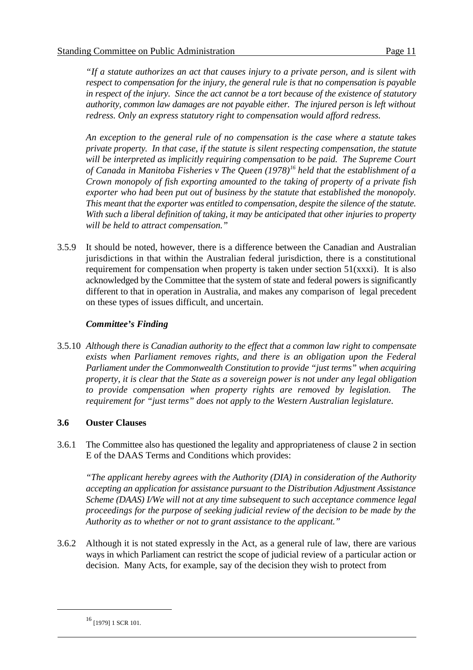*"If a statute authorizes an act that causes injury to a private person, and is silent with respect to compensation for the injury, the general rule is that no compensation is payable in respect of the injury. Since the act cannot be a tort because of the existence of statutory authority, common law damages are not payable either. The injured person is left without redress. Only an express statutory right to compensation would afford redress.*

*An exception to the general rule of no compensation is the case where a statute takes private property. In that case, if the statute is silent respecting compensation, the statute will be interpreted as implicitly requiring compensation to be paid. The Supreme Court of Canada in Manitoba Fisheries v The Queen* (1978)<sup>16</sup> held that the establishment of a *Crown monopoly of fish exporting amounted to the taking of property of a private fish exporter who had been put out of business by the statute that established the monopoly. This meant that the exporter was entitled to compensation, despite the silence of the statute. With such a liberal definition of taking, it may be anticipated that other injuries to property will be held to attract compensation."*

3.5.9 It should be noted, however, there is a difference between the Canadian and Australian jurisdictions in that within the Australian federal jurisdiction, there is a constitutional requirement for compensation when property is taken under section  $51(xxxi)$ . It is also acknowledged by the Committee that the system of state and federal powers is significantly different to that in operation in Australia, and makes any comparison of legal precedent on these types of issues difficult, and uncertain.

#### *Committee's Finding*

3.5.10 *Although there is Canadian authority to the effect that a common law right to compensate exists when Parliament removes rights, and there is an obligation upon the Federal Parliament under the Commonwealth Constitution to provide "just terms" when acquiring property, it is clear that the State as a sovereign power is not under any legal obligation to provide compensation when property rights are removed by legislation. The requirement for "just terms" does not apply to the Western Australian legislature.*

#### **3.6 Ouster Clauses**

3.6.1 The Committee also has questioned the legality and appropriateness of clause 2 in section E of the DAAS Terms and Conditions which provides:

*"The applicant hereby agrees with the Authority (DIA) in consideration of the Authority accepting an application for assistance pursuant to the Distribution Adjustment Assistance Scheme (DAAS) I/We will not at any time subsequent to such acceptance commence legal proceedings for the purpose of seeking judicial review of the decision to be made by the Authority as to whether or not to grant assistance to the applicant."*

3.6.2 Although it is not stated expressly in the Act, as a general rule of law, there are various ways in which Parliament can restrict the scope of judicial review of a particular action or decision. Many Acts, for example, say of the decision they wish to protect from

 $^{16}$  [1979] 1 SCR 101.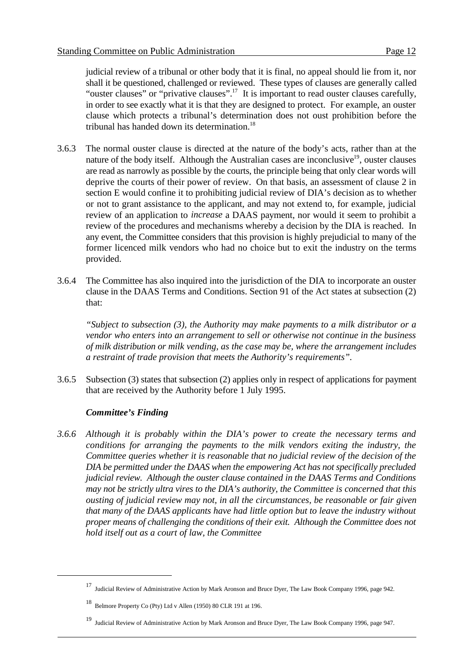judicial review of a tribunal or other body that it is final, no appeal should lie from it, nor shall it be questioned, challenged or reviewed. These types of clauses are generally called "ouster clauses" or "privative clauses".<sup>17</sup> It is important to read ouster clauses carefully, in order to see exactly what it is that they are designed to protect. For example, an ouster clause which protects a tribunal's determination does not oust prohibition before the tribunal has handed down its determination.<sup>18</sup>

- 3.6.3 The normal ouster clause is directed at the nature of the body's acts, rather than at the nature of the body itself. Although the Australian cases are inconclusive<sup>19</sup>, ouster clauses are read as narrowly as possible by the courts, the principle being that only clear words will deprive the courts of their power of review.On that basis, an assessment of clause 2 in section E would confine it to prohibiting judicial review of DIA's decision as to whether or not to grant assistance to the applicant, and may not extend to, for example, judicial review of an application to *increase* a DAAS payment, nor would it seem to prohibit a review of the procedures and mechanisms whereby a decision by the DIA is reached. In any event, the Committee considers that this provision is highly prejudicial to many of the former licenced milk vendors who had no choice but to exit the industry on the terms provided.
- 3.6.4 The Committee has also inquired into the jurisdiction of the DIA to incorporate an ouster clause in the DAAS Terms and Conditions. Section 91 of the Act states at subsection (2) that:

*"Subject to subsection (3), the Authority may make payments to a milk distributor or a vendor who enters into an arrangement to sell or otherwise not continue in the business of milk distribution or milk vending, as the case may be, where the arrangement includes a restraint of trade provision that meets the Authority's requirements".*

3.6.5 Subsection (3) states that subsection (2) applies only in respect of applications for payment that are received by the Authority before 1 July 1995.

#### *Committee's Finding*

*3.6.6 Although it is probably within the DIA's power to create the necessary terms and conditions for arranging the payments to the milk vendors exiting the industry, the Committee queries whether it is reasonable that no judicial review of the decision of the DIA be permitted under the DAAS when the empowering Act has not specifically precluded judicial review. Although the ouster clause contained in the DAAS Terms and Conditions may not be strictly ultra vires to the DIA's authority, the Committee is concerned that this ousting of judicial review may not, in all the circumstances, be reasonable or fair given that many of the DAAS applicants have had little option but to leave the industry without proper means of challenging the conditions of their exit. Although the Committee does not hold itself out as a court of law, the Committee* 

<sup>&</sup>lt;sup>17</sup> Judicial Review of Administrative Action by Mark Aronson and Bruce Dyer, The Law Book Company 1996, page 942.

 $18$  Belmore Property Co (Pty) Ltd v Allen (1950) 80 CLR 191 at 196.

<sup>&</sup>lt;sup>19</sup> Judicial Review of Administrative Action by Mark Aronson and Bruce Dyer, The Law Book Company 1996, page 947.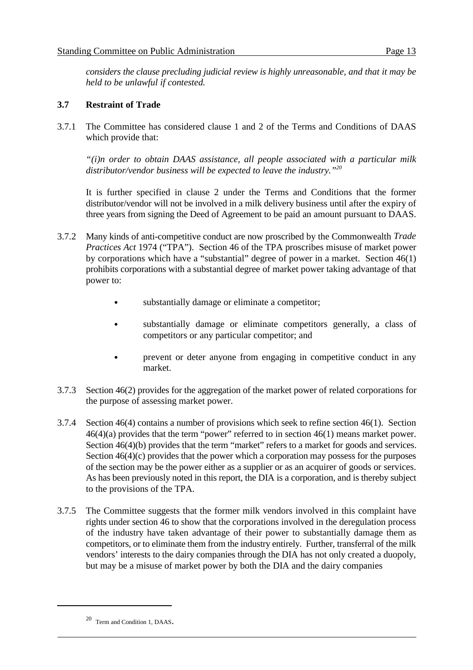*considers the clause precluding judicial review is highly unreasonable, and that it may be held to be unlawful if contested.*

#### **3.7 Restraint of Trade**

3.7.1 The Committee has considered clause 1 and 2 of the Terms and Conditions of DAAS which provide that:

*"(i)n order to obtain DAAS assistance, all people associated with a particular milk distributor/vendor business will be expected to leave the industry."20*

It is further specified in clause 2 under the Terms and Conditions that the former distributor/vendor will not be involved in a milk delivery business until after the expiry of three years from signing the Deed of Agreement to be paid an amount pursuant to DAAS.

- 3.7.2 Many kinds of anti-competitive conduct are now proscribed by the Commonwealth *Trade Practices Act* 1974 ("TPA"). Section 46 of the TPA proscribes misuse of market power by corporations which have a "substantial" degree of power in a market. Section 46(1) prohibits corporations with a substantial degree of market power taking advantage of that power to:
	- substantially damage or eliminate a competitor;
	- substantially damage or eliminate competitors generally, a class of competitors or any particular competitor; and
	- prevent or deter anyone from engaging in competitive conduct in any market.
- 3.7.3 Section 46(2) provides for the aggregation of the market power of related corporations for the purpose of assessing market power.
- 3.7.4 Section 46(4) contains a number of provisions which seek to refine section 46(1). Section 46(4)(a) provides that the term "power" referred to in section 46(1) means market power. Section 46(4)(b) provides that the term "market" refers to a market for goods and services. Section  $46(4)(c)$  provides that the power which a corporation may possess for the purposes of the section may be the power either as a supplier or as an acquirer of goods or services. As has been previously noted in this report, the DIA is a corporation, and is thereby subject to the provisions of the TPA.
- 3.7.5 The Committee suggests that the former milk vendors involved in this complaint have rights under section 46 to show that the corporations involved in the deregulation process of the industry have taken advantage of their power to substantially damage them as competitors, or to eliminate them from the industry entirely. Further, transferral of the milk vendors' interests to the dairy companies through the DIA has not only created a duopoly, but may be a misuse of market power by both the DIA and the dairy companies

 $20$  Term and Condition 1, DAAS.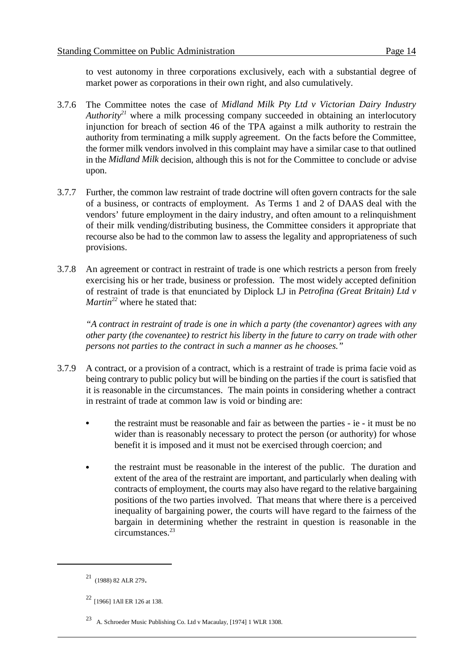to vest autonomy in three corporations exclusively, each with a substantial degree of market power as corporations in their own right, and also cumulatively.

- 3.7.6 The Committee notes the case of *Midland Milk Pty Ltd v Victorian Dairy Industry Authority*<sup>21</sup> where a milk processing company succeeded in obtaining an interlocutory injunction for breach of section 46 of the TPA against a milk authority to restrain the authority from terminating a milk supply agreement. On the facts before the Committee, the former milk vendors involved in this complaint may have a similar case to that outlined in the *Midland Milk* decision, although this is not for the Committee to conclude or advise upon.
- 3.7.7 Further, the common law restraint of trade doctrine will often govern contracts for the sale of a business, or contracts of employment. As Terms 1 and 2 of DAAS deal with the vendors' future employment in the dairy industry, and often amount to a relinquishment of their milk vending/distributing business, the Committee considers it appropriate that recourse also be had to the common law to assess the legality and appropriateness of such provisions.
- 3.7.8 An agreement or contract in restraint of trade is one which restricts a person from freely exercising his or her trade, business or profession. The most widely accepted definition of restraint of trade is that enunciated by Diplock LJ in *Petrofina (Great Britain) Ltd v Martin*<sup>22</sup> where he stated that:

*"A contract in restraint of trade is one in which a party (the covenantor) agrees with any other party (the covenantee) to restrict his liberty in the future to carry on trade with other persons not parties to the contract in such a manner as he chooses."*

- 3.7.9 A contract, or a provision of a contract, which is a restraint of trade is prima facie void as being contrary to public policy but will be binding on the parties if the court is satisfied that it is reasonable in the circumstances. The main points in considering whether a contract in restraint of trade at common law is void or binding are:
	- the restraint must be reasonable and fair as between the parties ie it must be no wider than is reasonably necessary to protect the person (or authority) for whose benefit it is imposed and it must not be exercised through coercion; and
	- the restraint must be reasonable in the interest of the public. The duration and extent of the area of the restraint are important, and particularly when dealing with contracts of employment, the courts may also have regard to the relative bargaining positions of the two parties involved. That means that where there is a perceived inequality of bargaining power, the courts will have regard to the fairness of the bargain in determining whether the restraint in question is reasonable in the circumstances. 23

 $21$  (1988) 82 ALR 279.

 $22$  [1966] 1All ER 126 at 138.

A. Schroeder Music Publishing Co. Ltd v Macaulay, [1974] 1 WLR 1308.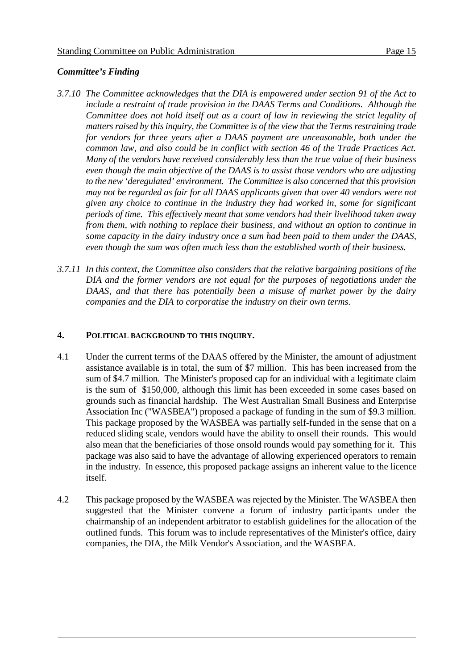#### *Committee's Finding*

- *3.7.10 The Committee acknowledges that the DIA is empowered under section 91 of the Act to include a restraint of trade provision in the DAAS Terms and Conditions. Although the Committee does not hold itself out as a court of law in reviewing the strict legality of matters raised by this inquiry, the Committee is of the view that the Terms restraining trade for vendors for three years after a DAAS payment are unreasonable, both under the common law, and also could be in conflict with section 46 of the Trade Practices Act. Many of the vendors have received considerably less than the true value of their business even though the main objective of the DAAS is to assist those vendors who are adjusting to the new 'deregulated' environment. The Committee is also concerned that this provision may not be regarded as fair for all DAAS applicants given that over 40 vendors were not given any choice to continue in the industry they had worked in, some for significant periods of time. This effectively meant that some vendors had their livelihood taken away from them, with nothing to replace their business, and without an option to continue in some capacity in the dairy industry once a sum had been paid to them under the DAAS, even though the sum was often much less than the established worth of their business.*
- *3.7.11 In this context, the Committee also considers that the relative bargaining positions of the DIA and the former vendors are not equal for the purposes of negotiations under the DAAS, and that there has potentially been a misuse of market power by the dairy companies and the DIA to corporatise the industry on their own terms.*

#### **4. POLITICAL BACKGROUND TO THIS INQUIRY.**

- 4.1 Under the current terms of the DAAS offered by the Minister, the amount of adjustment assistance available is in total, the sum of \$7 million. This has been increased from the sum of \$4.7 million. The Minister's proposed cap for an individual with a legitimate claim is the sum of \$150,000, although this limit has been exceeded in some cases based on grounds such as financial hardship. The West Australian Small Business and Enterprise Association Inc ("WASBEA") proposed a package of funding in the sum of \$9.3 million. This package proposed by the WASBEA was partially self-funded in the sense that on a reduced sliding scale, vendors would have the ability to onsell their rounds. This would also mean that the beneficiaries of those onsold rounds would pay something for it. This package was also said to have the advantage of allowing experienced operators to remain in the industry. In essence, this proposed package assigns an inherent value to the licence itself.
- 4.2 This package proposed by the WASBEA was rejected by the Minister. The WASBEA then suggested that the Minister convene a forum of industry participants under the chairmanship of an independent arbitrator to establish guidelines for the allocation of the outlined funds. This forum was to include representatives of the Minister's office, dairy companies, the DIA, the Milk Vendor's Association, and the WASBEA.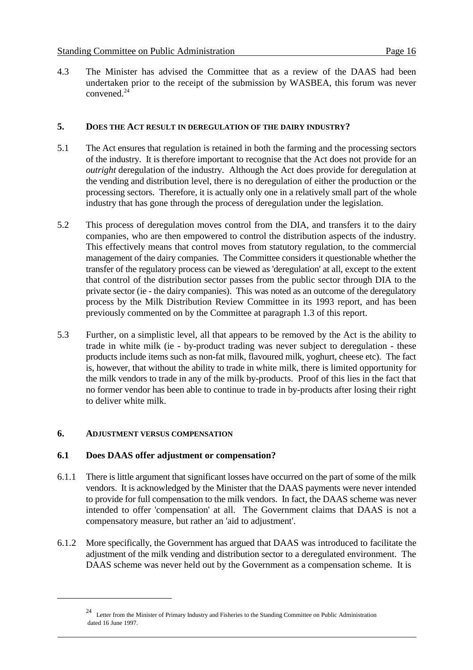4.3 The Minister has advised the Committee that as a review of the DAAS had been undertaken prior to the receipt of the submission by WASBEA, this forum was never convened.<sup>24</sup>

#### **5. DOES THE ACT RESULT IN DEREGULATION OF THE DAIRY INDUSTRY?**

- 5.1 The Act ensures that regulation is retained in both the farming and the processing sectors of the industry. It is therefore important to recognise that the Act does not provide for an *outright* deregulation of the industry. Although the Act does provide for deregulation at the vending and distribution level, there is no deregulation of either the production or the processing sectors. Therefore, it is actually only one in a relatively small part of the whole industry that has gone through the process of deregulation under the legislation.
- 5.2 This process of deregulation moves control from the DIA, and transfers it to the dairy companies, who are then empowered to control the distribution aspects of the industry. This effectively means that control moves from statutory regulation, to the commercial management of the dairy companies. The Committee considers it questionable whether the transfer of the regulatory process can be viewed as 'deregulation' at all, except to the extent that control of the distribution sector passes from the public sector through DIA to the private sector (ie - the dairy companies). This was noted as an outcome of the deregulatory process by the Milk Distribution Review Committee in its 1993 report, and has been previously commented on by the Committee at paragraph 1.3 of this report.
- 5.3 Further, on a simplistic level, all that appears to be removed by the Act is the ability to trade in white milk (ie - by-product trading was never subject to deregulation - these products include items such as non-fat milk, flavoured milk, yoghurt, cheese etc). The fact is, however, that without the ability to trade in white milk, there is limited opportunity for the milk vendors to trade in any of the milk by-products. Proof of this lies in the fact that no former vendor has been able to continue to trade in by-products after losing their right to deliver white milk.

#### **6. ADJUSTMENT VERSUS COMPENSATION**

#### **6.1 Does DAAS offer adjustment or compensation?**

- 6.1.1 There is little argument that significant losses have occurred on the part of some of the milk vendors. It is acknowledged by the Minister that the DAAS payments were never intended to provide for full compensation to the milk vendors. In fact, the DAAS scheme was never intended to offer 'compensation' at all. The Government claims that DAAS is not a compensatory measure, but rather an 'aid to adjustment'.
- 6.1.2 More specifically, the Government has argued that DAAS was introduced to facilitate the adjustment of the milk vending and distribution sector to a deregulated environment. The DAAS scheme was never held out by the Government as a compensation scheme. It is

<sup>&</sup>lt;sup>24</sup> Letter from the Minister of Primary Industry and Fisheries to the Standing Committee on Public Administration dated 16 June 1997.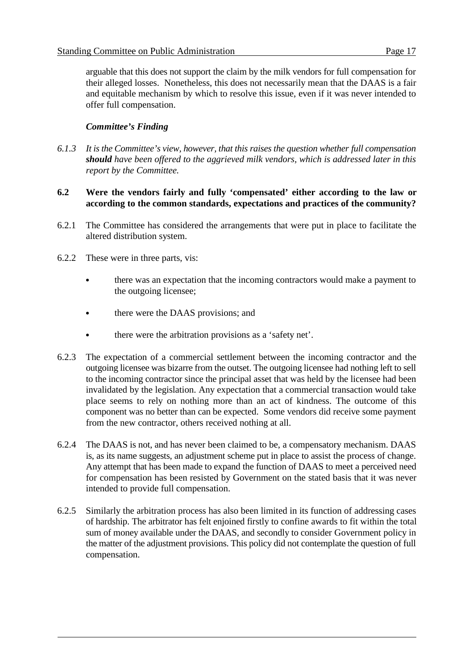arguable that this does not support the claim by the milk vendors for full compensation for their alleged losses. Nonetheless, this does not necessarily mean that the DAAS is a fair and equitable mechanism by which to resolve this issue, even if it was never intended to offer full compensation.

#### *Committee's Finding*

*6.1.3 It is the Committee's view, however, that this raises the question whether full compensation should have been offered to the aggrieved milk vendors, which is addressed later in this report by the Committee.*

#### **6.2 Were the vendors fairly and fully 'compensated' either according to the law or according to the common standards, expectations and practices of the community?**

- 6.2.1 The Committee has considered the arrangements that were put in place to facilitate the altered distribution system.
- 6.2.2 These were in three parts, vis:
	- there was an expectation that the incoming contractors would make a payment to the outgoing licensee;
	- there were the DAAS provisions; and
	- there were the arbitration provisions as a 'safety net'.
- 6.2.3 The expectation of a commercial settlement between the incoming contractor and the outgoing licensee was bizarre from the outset. The outgoing licensee had nothing left to sell to the incoming contractor since the principal asset that was held by the licensee had been invalidated by the legislation. Any expectation that a commercial transaction would take place seems to rely on nothing more than an act of kindness. The outcome of this component was no better than can be expected. Some vendors did receive some payment from the new contractor, others received nothing at all.
- 6.2.4 The DAAS is not, and has never been claimed to be, a compensatory mechanism. DAAS is, as its name suggests, an adjustment scheme put in place to assist the process of change. Any attempt that has been made to expand the function of DAAS to meet a perceived need for compensation has been resisted by Government on the stated basis that it was never intended to provide full compensation.
- 6.2.5 Similarly the arbitration process has also been limited in its function of addressing cases of hardship. The arbitrator has felt enjoined firstly to confine awards to fit within the total sum of money available under the DAAS, and secondly to consider Government policy in the matter of the adjustment provisions. This policy did not contemplate the question of full compensation.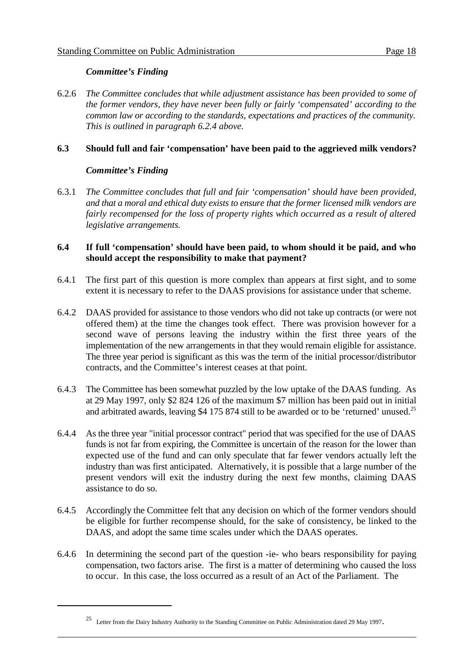#### *Committee's Finding*

6.2.6 *The Committee concludes that while adjustment assistance has been provided to some of the former vendors, they have never been fully or fairly 'compensated' according to the common law or according to the standards, expectations and practices of the community. This is outlined in paragraph 6.2.4 above.*

#### **6.3 Should full and fair 'compensation' have been paid to the aggrieved milk vendors?**

#### *Committee's Finding*

6.3.1 *The Committee concludes that full and fair 'compensation' should have been provided, and that a moral and ethical duty exists to ensure that the former licensed milk vendors are fairly recompensed for the loss of property rights which occurred as a result of altered legislative arrangements.*

#### **6.4 If full 'compensation' should have been paid, to whom should it be paid, and who should accept the responsibility to make that payment?**

- 6.4.1 The first part of this question is more complex than appears at first sight, and to some extent it is necessary to refer to the DAAS provisions for assistance under that scheme.
- 6.4.2 DAAS provided for assistance to those vendors who did not take up contracts (or were not offered them) at the time the changes took effect. There was provision however for a second wave of persons leaving the industry within the first three years of the implementation of the new arrangements in that they would remain eligible for assistance. The three year period is significant as this was the term of the initial processor/distributor contracts, and the Committee's interest ceases at that point.
- 6.4.3 The Committee has been somewhat puzzled by the low uptake of the DAAS funding. As at 29 May 1997, only \$2 824 126 of the maximum \$7 million has been paid out in initial and arbitrated awards, leaving \$4 175 874 still to be awarded or to be 'returned' unused.<sup>25</sup>
- 6.4.4 As the three year "initial processor contract" period that was specified for the use of DAAS funds is not far from expiring, the Committee is uncertain of the reason for the lower than expected use of the fund and can only speculate that far fewer vendors actually left the industry than was first anticipated. Alternatively, it is possible that a large number of the present vendors will exit the industry during the next few months, claiming DAAS assistance to do so.
- 6.4.5 Accordingly the Committee felt that any decision on which of the former vendors should be eligible for further recompense should, for the sake of consistency, be linked to the DAAS, and adopt the same time scales under which the DAAS operates.
- 6.4.6 In determining the second part of the question -ie- who bears responsibility for paying compensation, two factors arise. The first is a matter of determining who caused the loss to occur. In this case, the loss occurred as a result of an Act of the Parliament. The

<sup>&</sup>lt;sup>25</sup> Letter from the Dairy Industry Authority to the Standing Committee on Public Administration dated 29 May 1997.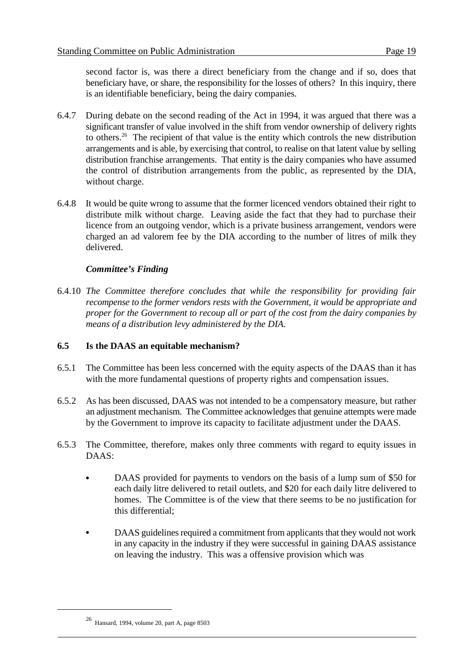second factor is, was there a direct beneficiary from the change and if so, does that beneficiary have, or share, the responsibility for the losses of others? In this inquiry, there is an identifiable beneficiary, being the dairy companies.

- 6.4.7 During debate on the second reading of the Act in 1994, it was argued that there was a significant transfer of value involved in the shift from vendor ownership of delivery rights to others.<sup>26</sup> The recipient of that value is the entity which controls the new distribution arrangements and is able, by exercising that control, to realise on that latent value by selling distribution franchise arrangements. That entity is the dairy companies who have assumed the control of distribution arrangements from the public, as represented by the DIA, without charge.
- 6.4.8 It would be quite wrong to assume that the former licenced vendors obtained their right to distribute milk without charge. Leaving aside the fact that they had to purchase their licence from an outgoing vendor, which is a private business arrangement, vendors were charged an ad valorem fee by the DIA according to the number of litres of milk they delivered.

#### *Committee's Finding*

6.4.10 *The Committee therefore concludes that while the responsibility for providing fair recompense to the former vendors rests with the Government, it would be appropriate and proper for the Government to recoup all or part of the cost from the dairy companies by means of a distribution levy administered by the DIA.*

#### **6.5 Is the DAAS an equitable mechanism?**

- 6.5.1 The Committee has been less concerned with the equity aspects of the DAAS than it has with the more fundamental questions of property rights and compensation issues.
- 6.5.2 As has been discussed, DAAS was not intended to be a compensatory measure, but rather an adjustment mechanism. The Committee acknowledges that genuine attempts were made by the Government to improve its capacity to facilitate adjustment under the DAAS.
- 6.5.3 The Committee, therefore, makes only three comments with regard to equity issues in DAAS:
	- DAAS provided for payments to vendors on the basis of a lump sum of \$50 for each daily litre delivered to retail outlets, and \$20 for each daily litre delivered to homes. The Committee is of the view that there seems to be no justification for this differential;
	- DAAS guidelines required a commitment from applicants that they would not work in any capacity in the industry if they were successful in gaining DAAS assistance on leaving the industry. This was a offensive provision which was

 $^{26}$  Hansard, 1994, volume 20, part A, page 8503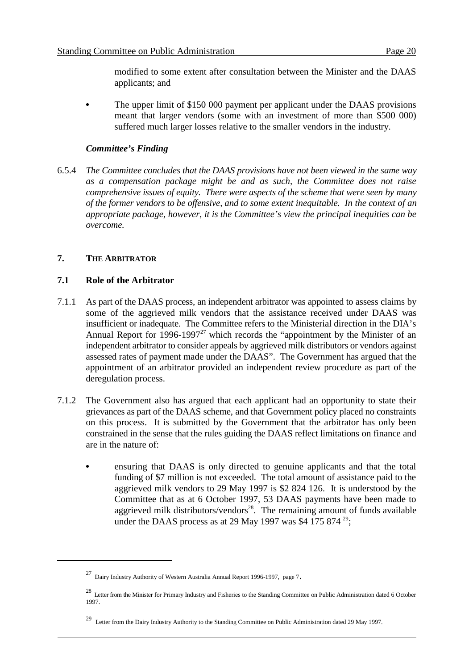modified to some extent after consultation between the Minister and the DAAS applicants; and

 The upper limit of \$150 000 payment per applicant under the DAAS provisions meant that larger vendors (some with an investment of more than \$500 000) suffered much larger losses relative to the smaller vendors in the industry.

#### *Committee's Finding*

6.5.4 *The Committee concludes that the DAAS provisions have not been viewed in the same way as a compensation package might be and as such, the Committee does not raise comprehensive issues of equity. There were aspects of the scheme that were seen by many of the former vendors to be offensive, and to some extent inequitable. In the context of an appropriate package, however, it is the Committee's view the principal inequities can be overcome.*

#### **7. THE ARBITRATOR**

#### **7.1 Role of the Arbitrator**

- 7.1.1 As part of the DAAS process, an independent arbitrator was appointed to assess claims by some of the aggrieved milk vendors that the assistance received under DAAS was insufficient or inadequate. The Committee refers to the Ministerial direction in the DIA's Annual Report for  $1996-1997^{27}$  which records the "appointment by the Minister of an independent arbitrator to consider appeals by aggrieved milk distributors or vendors against assessed rates of payment made under the DAAS". The Government has argued that the appointment of an arbitrator provided an independent review procedure as part of the deregulation process.
- 7.1.2 The Government also has argued that each applicant had an opportunity to state their grievances as part of the DAAS scheme, and that Government policy placed no constraints on this process. It is submitted by the Government that the arbitrator has only been constrained in the sense that the rules guiding the DAAS reflect limitations on finance and are in the nature of:
	- ensuring that DAAS is only directed to genuine applicants and that the total funding of \$7 million is not exceeded. The total amount of assistance paid to the aggrieved milk vendors to 29 May 1997 is \$2 824 126. It is understood by the Committee that as at 6 October 1997, 53 DAAS payments have been made to aggrieved milk distributors/vendors<sup>28</sup>. The remaining amount of funds available under the DAAS process as at 29 May 1997 was \$4 175 874  $^{29}$ ;

<sup>&</sup>lt;sup>27</sup> Dairy Industry Authority of Western Australia Annual Report 1996-1997, page 7.

<sup>&</sup>lt;sup>28</sup> Letter from the Minister for Primary Industry and Fisheries to the Standing Committee on Public Administration dated 6 October 1997.

<sup>&</sup>lt;sup>29</sup> Letter from the Dairy Industry Authority to the Standing Committee on Public Administration dated 29 May 1997.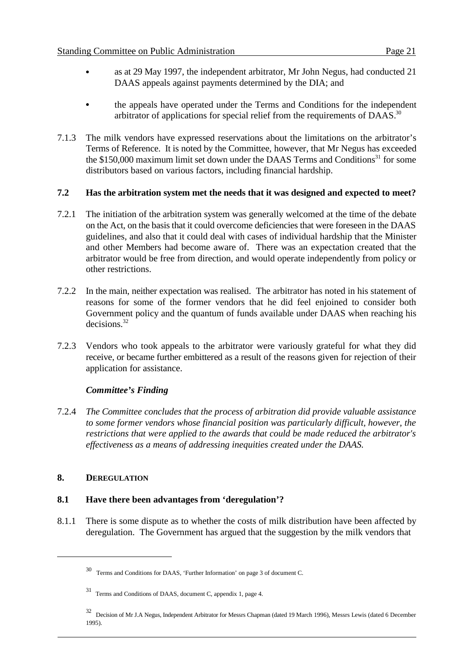- as at 29 May 1997, the independent arbitrator, Mr John Negus, had conducted 21 DAAS appeals against payments determined by the DIA; and
- the appeals have operated under the Terms and Conditions for the independent arbitrator of applications for special relief from the requirements of DAAS.<sup>30</sup>
- 7.1.3 The milk vendors have expressed reservations about the limitations on the arbitrator's Terms of Reference. It is noted by the Committee, however, that Mr Negus has exceeded the  $$150,000$  maximum limit set down under the DAAS Terms and Conditions<sup>31</sup> for some distributors based on various factors, including financial hardship.

#### **7.2 Has the arbitration system met the needs that it was designed and expected to meet?**

- 7.2.1 The initiation of the arbitration system was generally welcomed at the time of the debate on the Act, on the basis that it could overcome deficiencies that were foreseen in the DAAS guidelines, and also that it could deal with cases of individual hardship that the Minister and other Members had become aware of. There was an expectation created that the arbitrator would be free from direction, and would operate independently from policy or other restrictions.
- 7.2.2 In the main, neither expectation was realised. The arbitrator has noted in his statement of reasons for some of the former vendors that he did feel enjoined to consider both Government policy and the quantum of funds available under DAAS when reaching his decisions.<sup>32</sup>
- 7.2.3 Vendors who took appeals to the arbitrator were variously grateful for what they did receive, or became further embittered as a result of the reasons given for rejection of their application for assistance.

#### *Committee's Finding*

7.2.4 *The Committee concludes that the process of arbitration did provide valuable assistance to some former vendors whose financial position was particularly difficult, however, the restrictions that were applied to the awards that could be made reduced the arbitrator's effectiveness as a means of addressing inequities created under the DAAS.*

#### **8. DEREGULATION**

#### **8.1 Have there been advantages from 'deregulation'?**

8.1.1 There is some dispute as to whether the costs of milk distribution have been affected by deregulation. The Government has argued that the suggestion by the milk vendors that

Terms and Conditions for DAAS, 'Further Information' on page 3 of document C. <sup>30</sup>

Terms and Conditions of DAAS, document C, appendix 1, page 4. <sup>31</sup>

Decision of Mr J.A Negus, Independent Arbitrator for Messrs Chapman (dated 19 March 1996), Messrs Lewis (dated 6 December <sup>32</sup> 1995).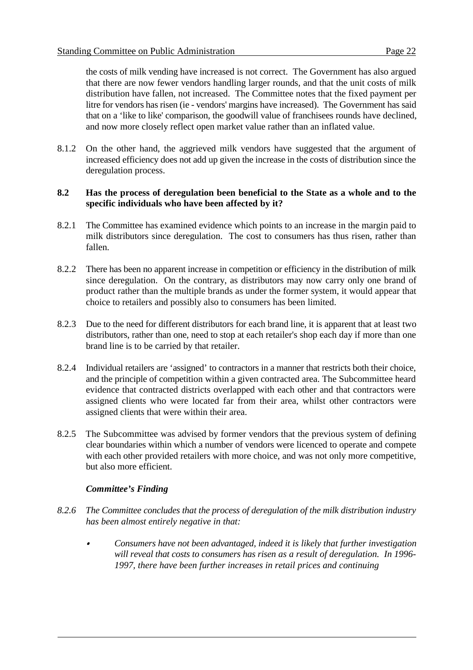the costs of milk vending have increased is not correct. The Government has also argued that there are now fewer vendors handling larger rounds, and that the unit costs of milk distribution have fallen, not increased. The Committee notes that the fixed payment per litre for vendors has risen (ie - vendors' margins have increased). The Government has said that on a 'like to like' comparison, the goodwill value of franchisees rounds have declined, and now more closely reflect open market value rather than an inflated value.

8.1.2 On the other hand, the aggrieved milk vendors have suggested that the argument of increased efficiency does not add up given the increase in the costs of distribution since the deregulation process.

#### **8.2 Has the process of deregulation been beneficial to the State as a whole and to the specific individuals who have been affected by it?**

- 8.2.1 The Committee has examined evidence which points to an increase in the margin paid to milk distributors since deregulation. The cost to consumers has thus risen, rather than fallen.
- 8.2.2 There has been no apparent increase in competition or efficiency in the distribution of milk since deregulation. On the contrary, as distributors may now carry only one brand of product rather than the multiple brands as under the former system, it would appear that choice to retailers and possibly also to consumers has been limited.
- 8.2.3 Due to the need for different distributors for each brand line, it is apparent that at least two distributors, rather than one, need to stop at each retailer's shop each day if more than one brand line is to be carried by that retailer.
- 8.2.4 Individual retailers are 'assigned' to contractors in a manner that restricts both their choice, and the principle of competition within a given contracted area. The Subcommittee heard evidence that contracted districts overlapped with each other and that contractors were assigned clients who were located far from their area, whilst other contractors were assigned clients that were within their area.
- 8.2.5 The Subcommittee was advised by former vendors that the previous system of defining clear boundaries within which a number of vendors were licenced to operate and compete with each other provided retailers with more choice, and was not only more competitive, but also more efficient.

#### *Committee's Finding*

- *8.2.6 The Committee concludes that the process of deregulation of the milk distribution industry has been almost entirely negative in that:*
	- & *Consumers have not been advantaged, indeed it is likely that further investigation will reveal that costs to consumers has risen as a result of deregulation. In 1996- 1997, there have been further increases in retail prices and continuing*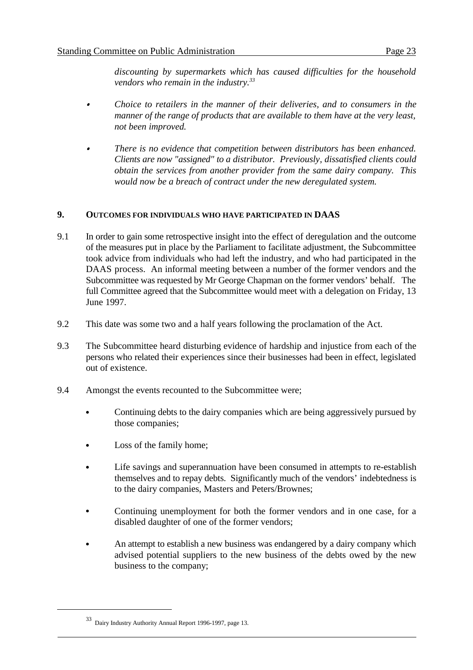*discounting by supermarkets which has caused difficulties for the household vendors who remain in the industry.33*

- & *Choice to retailers in the manner of their deliveries, and to consumers in the manner of the range of products that are available to them have at the very least, not been improved.*
- *There is no evidence that competition between distributors has been enhanced. Clients are now "assigned" to a distributor. Previously, dissatisfied clients could obtain the services from another provider from the same dairy company. This would now be a breach of contract under the new deregulated system.*

#### **9. OUTCOMES FOR INDIVIDUALS WHO HAVE PARTICIPATED IN DAAS**

- 9.1 In order to gain some retrospective insight into the effect of deregulation and the outcome of the measures put in place by the Parliament to facilitate adjustment, the Subcommittee took advice from individuals who had left the industry, and who had participated in the DAAS process. An informal meeting between a number of the former vendors and the Subcommittee was requested by Mr George Chapman on the former vendors' behalf. The full Committee agreed that the Subcommittee would meet with a delegation on Friday, 13 June 1997.
- 9.2 This date was some two and a half years following the proclamation of the Act.
- 9.3 The Subcommittee heard disturbing evidence of hardship and injustice from each of the persons who related their experiences since their businesses had been in effect, legislated out of existence.
- 9.4 Amongst the events recounted to the Subcommittee were;
	- Continuing debts to the dairy companies which are being aggressively pursued by those companies;
	- Loss of the family home;
	- Life savings and superannuation have been consumed in attempts to re-establish themselves and to repay debts. Significantly much of the vendors' indebtedness is to the dairy companies, Masters and Peters/Brownes;
	- Continuing unemployment for both the former vendors and in one case, for a disabled daughter of one of the former vendors;
	- An attempt to establish a new business was endangered by a dairy company which advised potential suppliers to the new business of the debts owed by the new business to the company;

 $33$  Dairy Industry Authority Annual Report 1996-1997, page 13.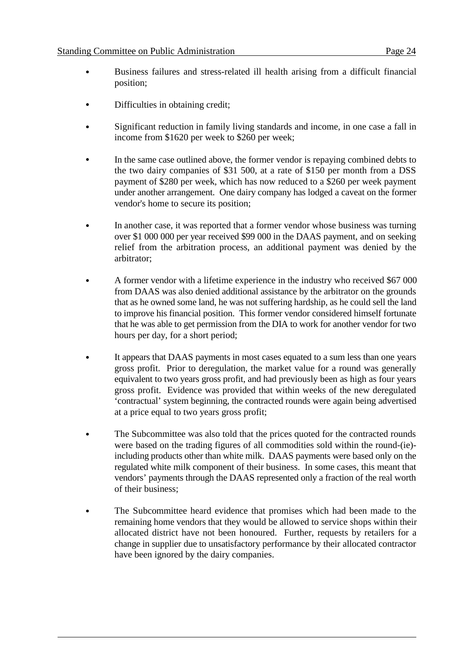- Business failures and stress-related ill health arising from a difficult financial position;
- Difficulties in obtaining credit;
- Significant reduction in family living standards and income, in one case a fall in income from \$1620 per week to \$260 per week;
- In the same case outlined above, the former vendor is repaying combined debts to the two dairy companies of \$31 500, at a rate of \$150 per month from a DSS payment of \$280 per week, which has now reduced to a \$260 per week payment under another arrangement. One dairy company has lodged a caveat on the former vendor's home to secure its position;
- In another case, it was reported that a former vendor whose business was turning over \$1 000 000 per year received \$99 000 in the DAAS payment, and on seeking relief from the arbitration process, an additional payment was denied by the arbitrator;
- A former vendor with a lifetime experience in the industry who received \$67 000 from DAAS was also denied additional assistance by the arbitrator on the grounds that as he owned some land, he was not suffering hardship, as he could sell the land to improve his financial position. This former vendor considered himself fortunate that he was able to get permission from the DIA to work for another vendor for two hours per day, for a short period;
- It appears that DAAS payments in most cases equated to a sum less than one years gross profit. Prior to deregulation, the market value for a round was generally equivalent to two years gross profit, and had previously been as high as four years gross profit. Evidence was provided that within weeks of the new deregulated 'contractual' system beginning, the contracted rounds were again being advertised at a price equal to two years gross profit;
- The Subcommittee was also told that the prices quoted for the contracted rounds were based on the trading figures of all commodities sold within the round-(ie) including products other than white milk. DAAS payments were based only on the regulated white milk component of their business. In some cases, this meant that vendors' payments through the DAAS represented only a fraction of the real worth of their business;
- The Subcommittee heard evidence that promises which had been made to the remaining home vendors that they would be allowed to service shops within their allocated district have not been honoured. Further, requests by retailers for a change in supplier due to unsatisfactory performance by their allocated contractor have been ignored by the dairy companies.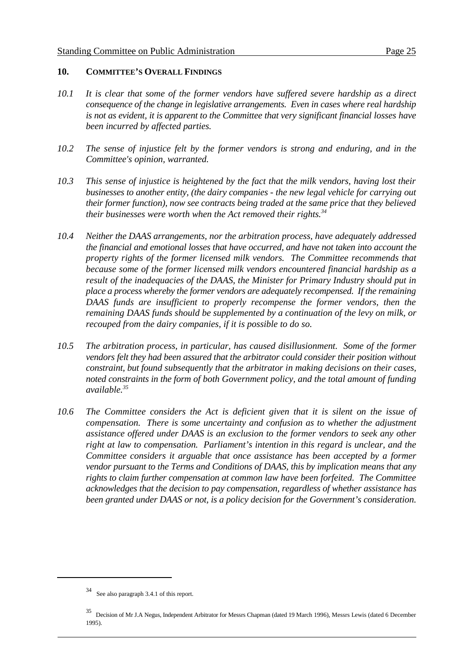#### **10. COMMITTEE'S OVERALL FINDINGS**

- *10.1 It is clear that some of the former vendors have suffered severe hardship as a direct consequence of the change in legislative arrangements. Even in cases where real hardship is not as evident, it is apparent to the Committee that very significant financial losses have been incurred by affected parties.*
- *10.2 The sense of injustice felt by the former vendors is strong and enduring, and in the Committee's opinion, warranted.*
- *10.3 This sense of injustice is heightened by the fact that the milk vendors, having lost their businesses to another entity, (the dairy companies - the new legal vehicle for carrying out their former function), now see contracts being traded at the same price that they believed their businesses were worth when the Act removed their rights.*<sup>34</sup>
- *10.4 Neither the DAAS arrangements, nor the arbitration process, have adequately addressed the financial and emotional losses that have occurred, and have not taken into account the property rights of the former licensed milk vendors. The Committee recommends that because some of the former licensed milk vendors encountered financial hardship as a result of the inadequacies of the DAAS, the Minister for Primary Industry should put in place a process whereby the former vendors are adequately recompensed. If the remaining DAAS funds are insufficient to properly recompense the former vendors, then the remaining DAAS funds should be supplemented by a continuation of the levy on milk, or recouped from the dairy companies, if it is possible to do so.*
- *10.5 The arbitration process, in particular, has caused disillusionment. Some of the former vendors felt they had been assured that the arbitrator could consider their position without constraint, but found subsequently that the arbitrator in making decisions on their cases, noted constraints in the form of both Government policy, and the total amount of funding available.35*
- *10.6 The Committee considers the Act is deficient given that it is silent on the issue of compensation. There is some uncertainty and confusion as to whether the adjustment assistance offered under DAAS is an exclusion to the former vendors to seek any other right at law to compensation. Parliament's intention in this regard is unclear, and the Committee considers it arguable that once assistance has been accepted by a former vendor pursuant to the Terms and Conditions of DAAS, this by implication means that any rights to claim further compensation at common law have been forfeited. The Committee acknowledges that the decision to pay compensation, regardless of whether assistance has been granted under DAAS or not, is a policy decision for the Government's consideration.*

See also paragraph 3.4.1 of this report.

Decision of Mr J.A Negus, Independent Arbitrator for Messrs Chapman (dated 19 March 1996), Messrs Lewis (dated 6 December <sup>35</sup> 1995).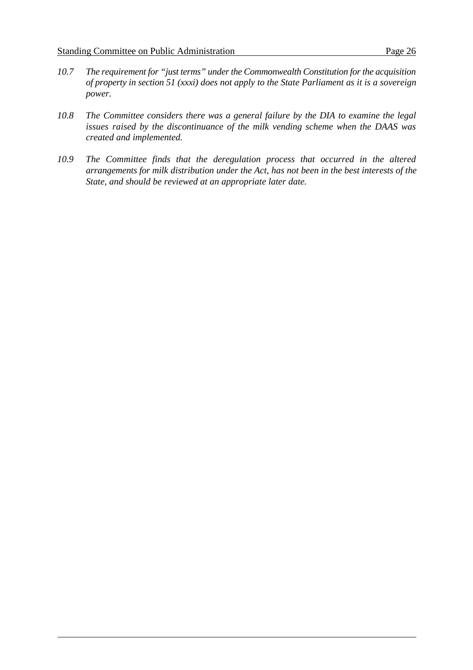- *10.7 The requirement for "just terms" under the Commonwealth Constitution for the acquisition of property in section 51 (xxxi) does not apply to the State Parliament as it is a sovereign power.*
- *10.8 The Committee considers there was a general failure by the DIA to examine the legal issues raised by the discontinuance of the milk vending scheme when the DAAS was created and implemented.*
- *10.9 The Committee finds that the deregulation process that occurred in the altered arrangements for milk distribution under the Act, has not been in the best interests of the State, and should be reviewed at an appropriate later date.*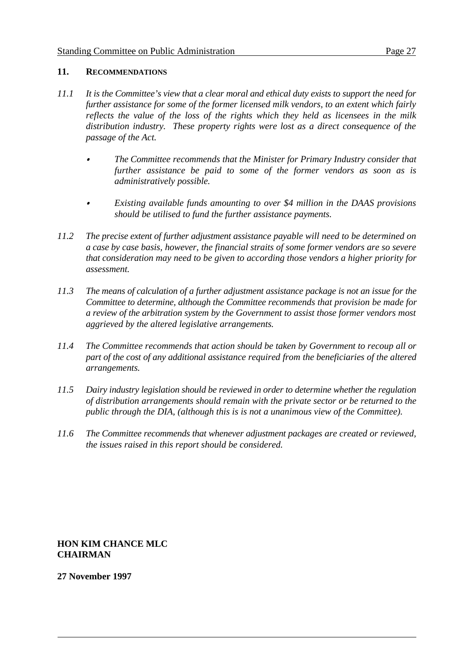#### **11. RECOMMENDATIONS**

- *11.1 It is the Committee's view that a clear moral and ethical duty exists to support the need for further assistance for some of the former licensed milk vendors, to an extent which fairly reflects the value of the loss of the rights which they held as licensees in the milk distribution industry. These property rights were lost as a direct consequence of the passage of the Act.*
	- *The Committee recommends that the Minister for Primary Industry consider that further assistance be paid to some of the former vendors as soon as is administratively possible.*
	- *Existing available funds amounting to over \$4 million in the DAAS provisions should be utilised to fund the further assistance payments.*
- *11.2 The precise extent of further adjustment assistance payable will need to be determined on a case by case basis, however, the financial straits of some former vendors are so severe that consideration may need to be given to according those vendors a higher priority for assessment.*
- *11.3 The means of calculation of a further adjustment assistance package is not an issue for the Committee to determine, although the Committee recommends that provision be made for a review of the arbitration system by the Government to assist those former vendors most aggrieved by the altered legislative arrangements.*
- *11.4 The Committee recommends that action should be taken by Government to recoup all or part of the cost of any additional assistance required from the beneficiaries of the altered arrangements.*
- *11.5 Dairy industry legislation should be reviewed in order to determine whether the regulation of distribution arrangements should remain with the private sector or be returned to the public through the DIA, (although this is is not a unanimous view of the Committee).*
- *11.6 The Committee recommends that whenever adjustment packages are created or reviewed, the issues raised in this report should be considered.*

**HON KIM CHANCE MLC CHAIRMAN**

**27 November 1997**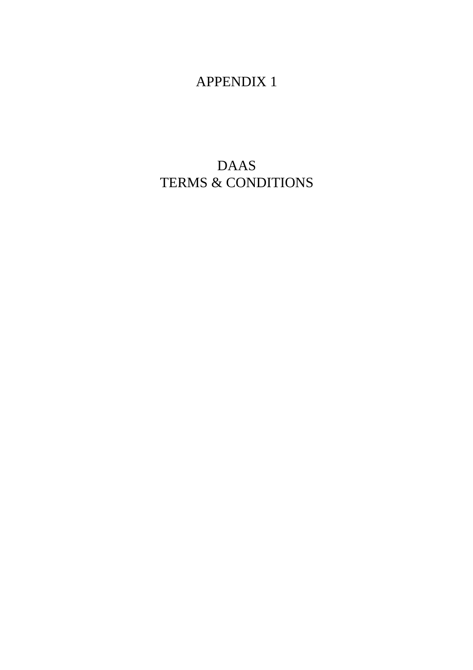# APPENDIX 1

# DAAS TERMS & CONDITIONS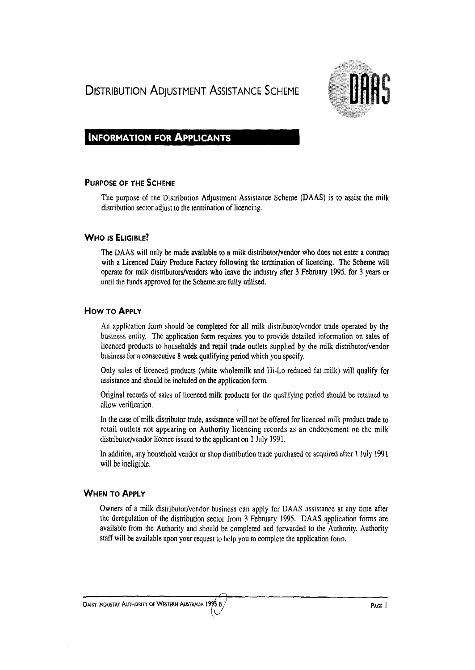## **DISTRIBUTION ADJUSTMENT ASSISTANCE SCHEME**



#### **INFORMATION FOR ApPLICANTS**

#### PURPOSE OF THE SCHEME

The purpose of the Distribution Adjustment Assistance Scheme (DAAS) is to assist the milk distribution sector adjust to the termination of licencing.

#### WHO IS ELIGIBLE?

The DAAS will only be made available to a milk distributor/vendor who does not enter a contract with a Licenced Dairy Produce Factory following the termination of licencing. The Scheme will operate for milk distributors/vendors who leave the industry after 3 February 1995. for 3 years or until the funds approved for the Scheme are fully utilised.

#### How TO ApPLY

An application form should be completed for all milk distributor/vendor trade operated by the business entity. The application form requires you to provide detailed information on sales of licenced products to households and retail trade outlets supplied by the milk distributor/vendor business for a consecutive 8 week qualifying period which you specify.

Only sales of licenced products (white wholemilk and Hi-Lo reduced fat .milk) will qualify for assistance and should be included on the application form.

Original records of sales of licenced milk products for the qualifying period should be retained to allow verification.

In the case of milk distributor trade, assistance will not be offered for licenced milk product trade to retail outlets not appearing on Authority licencing records as an endorsement on the milk distributor/vendor licence issued to the applicant on 1 July 1991.

In addition, any household vendor or shop distribution trade purchased or acquired after 1 July 1991 will be ineligible.

#### WHEN TO ApPLY

Owners of a milk distributor/vendor business can apply for DAAS assistance at any time after the deregulation of the distribution sector from 3 February 1995. DAAS application forms are available from the Authority and should be completed and forwarded to the Authority. Authority staff will be available upon your request to help you to complete the application form .

. J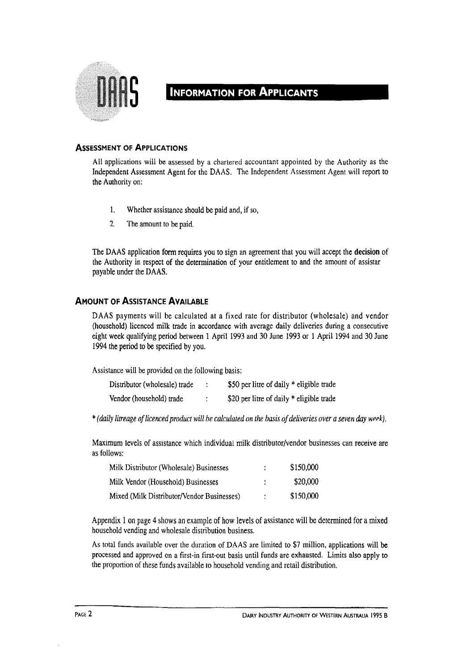

## **INFORMATION FOR APPLICANTS**

#### **ASSESSMENT OF ApPLICATIONS**

All applications will be assessed by a chartered accountant appointed by the Authority as the Independent Assessment Agent for the DAAS. The Independent Assessment Agent will report to the Authority on:

- 1. Whether assistance should be paid and, if so,
- 2. The amount to be paid.

The DAAS application form requires you to sign an agreement that you will accept the **decision** of the Authority in respect of the determination of your entitlement to and the amount of assistar payable under the DAAS.

#### **AMOUNT OF ASSISTANCE AVAILABLE**

DAAS payments will be calculated at a fixed rate for distributor (wholesale) and vendor (household) licenced milk trade in accordance with average daily deliveries during a consecutive eight week qualifying period between 1 April 1993 and 30 June 1993 or 1 April 1994 and 30 June 1994 the period to be specified by you.

Assistance will be provided on the following basis:

| Distributor (wholesale) trade | \$50 per litre of daily * eligible trade |
|-------------------------------|------------------------------------------|
| Vendor (household) trade      | \$20 per litre of daily * eligible trade |

,. (daily *litreage oj licenced product will be calculated on the basis of deliveries over a seven day* wppk).

Maximum levels of assistance which individual milk distributor/vendor businesses can receive are as follows:

| Milk Distributor (Wholesale) Businesses    |   | \$150,000 |
|--------------------------------------------|---|-----------|
| Milk Vendor (Household) Businesses         |   | \$20,000  |
| Mixed (Milk Distributor/Vendor Businesses) | ÷ | \$150.000 |

Appendix 1 on page 4 shows an example of how levels of assistance will be determined for a mixed household vending and wholesale distribution business.

As total funds available over the duration of DAAS are limited to \$7 million, applications will be processed and approved on a first-in first-out basis until funds are exhausted. Limits also apply to the proportion of these funds available to household vending and retail distribution.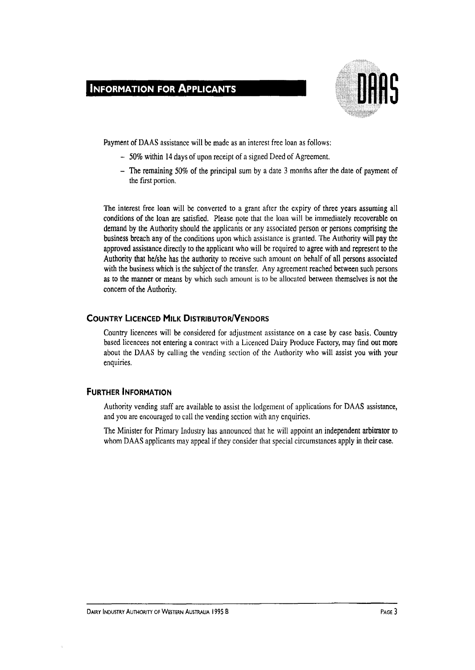## **INFORMATION FOR ApPLICANTS**



Payment of DAAS assistance will be made as an interest free loan as follows:

- 50% within 14 days of upon receipt of a signed Deed of Agreement.
- The remaining 50% of the principal sum by a date 3 months after the date of payment of the first portion.

The interest free loan will be converted to a grant after the expiry of three years assuming all conditions of the loan are satisfied. Please note that the loan will be immediately recoverable on demand by the Authority should the applicants or any associated person or persons comprising the business breach any of the conditions upon which assistance is granted. The Authority will pay the approved assistance directly to the applicant who will be required to agree with and represent to the Authority that he/she has the authority to receive such amount on behalf of all persons associated with the business which is the subject of the transfer. Any agreement reached between such persons as to the manner or means by which such amount is to be allocated between themselves is not the concern of the Authority.

#### **COUNTRY LICENCED MILK DISTRIBUTOR/VENDORS**

Country licencees will be considered for adjustment assistance on a case by case basis. Country based licencees not entering a contract with a Licenced Dairy Produce Factory, may find out more about the DAAS by calling the vending section of the Authority who will assist you with your enquiries.

#### **FURTHER INFORMATION**

Authority vending staff are available to assist the lodgement of applications for DAAS assistance, and you are encouraged to call the vending section with any enquiries.

The Minister for Primary Industry has announced that he will appoint an independent arbitrator to whom DAAS applicants may appeal if they consider that special circumstances apply in their case.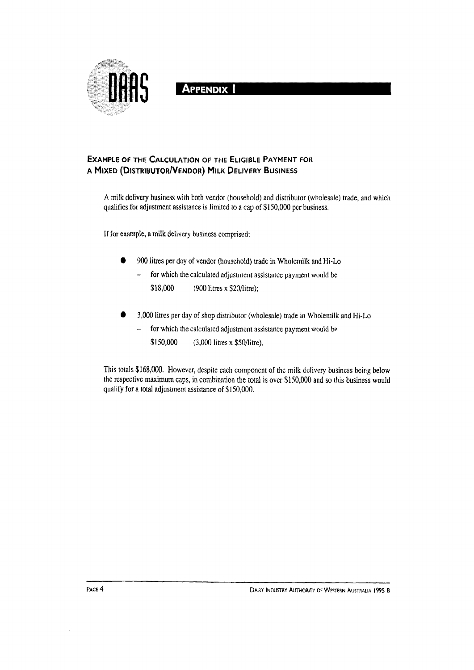

**APPENDIX** 

#### **EXAMPLE OF THE CALCULATION OF THE ELIGIBLE PAYMENT FOR A MIXED (DISTRIBUTOR!VENDOR) MILK DELIVERY BUSINESS**

A milk delivery business with both vendor (household) and distributor (wholesale) trade, and which qualifies for adjustment assistance is limited to a cap of \$150,000 per business.

If for example, a milk delivery business comprised:

- 900 Htres per day of vendor (household) trade in Wholemilk and Hi·Lo
	- for which the calculated adjustment assistance payment would be  $\overline{a}$ \$18,000 (900 litres x \$20/litre);
- 3,000 litres per day of shop distributor (wholesale) trade in Wholemilk and Hi-Lo
	- for which the calculated adjustment assistance payment would be j.
		- \$150,000 (3,000 litres x \$50/litre).

This totals \$168,000. However, despite each component of the milk delivery business being below the respective maximum caps, in combination the total is over \$150,000 and so this business would qualify for a total adjustment assistance of \$150,000.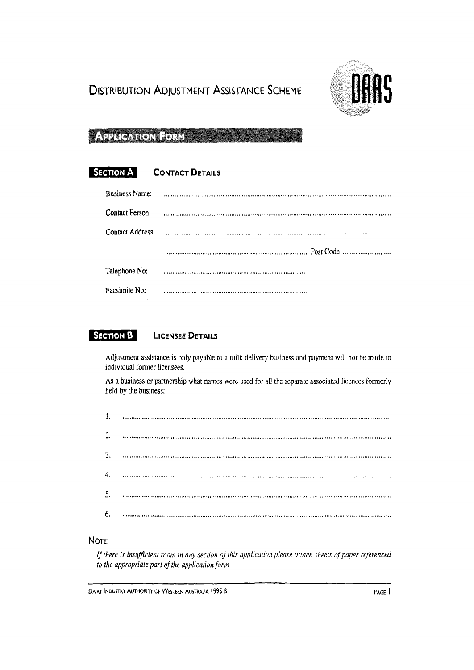# **DISTRIBUTION ADJUSTMENT ASSISTANCE SCHEME**



## **APPLICATION FORM**

#### **SECTION A CONTACT DETAILS**

| <b>Business Name:</b>   |  |
|-------------------------|--|
| Contact Person:         |  |
| <b>Contact Address:</b> |  |
|                         |  |
| Telephone No:           |  |
| Facsimile No:           |  |

#### **SECTION B LICENSEE DETAILS**

Adjustment assistance is only payable to a milk delivery business and payment will not be made to individual former licensees.

As a business or partnership what names werc used for all the separate associated licences formerly held by the business:

| 1. |  |
|----|--|
| 2. |  |
| 3. |  |
| 4. |  |
| 5. |  |
| 6. |  |

#### NoTE'.

*If there* is *insufficient room* in *any section of this applicarion please* attach sheets *oj paper referenced to the appropriate part of the application form*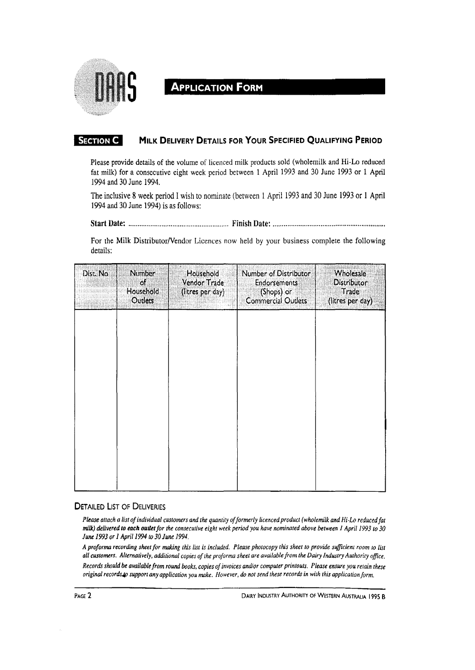

# **APPLICATION FORM**

#### **SECTION C MILK DELIVERY DETAILS FOR YOUR SPECIFIED QUALIFYING PERIOD**

Please provide details of the volume of licenced milk products sold (wholemilk and Hi-Lo reduced fat milk) for a consecutive eight week period between 1 April 1993 and 30 June 1993 or 1 April 1994 and 30 June 1994.

The inclusive 8 week period I wish to nominate (between 1 April 1993 and 30 June 1993 or 1 April 1994 and 30 June 1994) is as follows:

Start Date: ....................................................... Finish Date: ............................................................ .

For the Milk Distributor/Vendor Licences now held by your business complete the following details:

| Dist. No | Number<br>oľ.<br>Household<br>Outlets | Household<br>Vendor Trade<br>(litres per day) | Number of Distributor<br><b>Endorsements</b><br>(Shops) or<br>Commercial Outlets | <b>Wholesale</b><br>Distributor<br>Trade<br>(litres per day) |
|----------|---------------------------------------|-----------------------------------------------|----------------------------------------------------------------------------------|--------------------------------------------------------------|
|          |                                       |                                               |                                                                                  |                                                              |
|          |                                       |                                               |                                                                                  |                                                              |
|          |                                       |                                               |                                                                                  |                                                              |
|          |                                       |                                               |                                                                                  |                                                              |

#### **DETAILED LIST OF DELIVERIES**

*Please attach a list of individual customers and the quantity offormerly licenced product (wholemilk and Hi-Lo reducedfat milk) delivered to each OUlletfor the consecutive eight week period you have nominated above between* 1 *April 1993 to 30 June* 1993 *or 1 Apri/1994* 1030 *June 1994.* 

*A proforma recording sheet for making this list is included. Please photocopy this sheet* 10 *provide sufficient room to lisl all cuslomers. Alternatively, additional copies of the proforma sheet are available/rom the Dairy Industry Authority office. Records should be available from round books, copies of invoices and/or computer printouts. Please ensure you retain these original recordsJp support any application you make. However,* do *not send these records in with this application/orm.*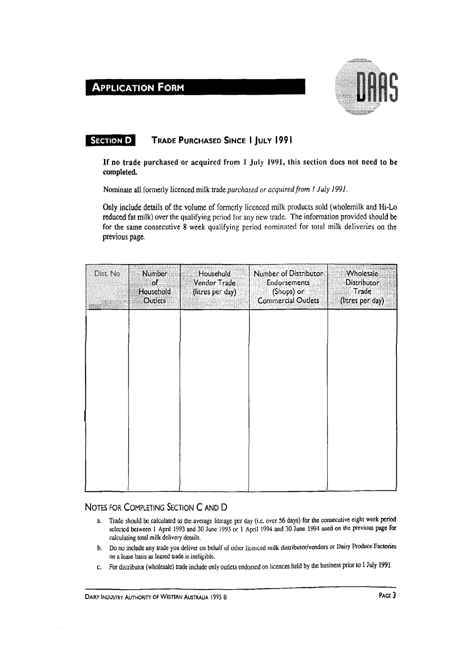## **ApPLICATION FORM**



#### **SECTION 0 TRADE PURCHASED SINCE 1 JULY 1991**

If no trade purchased or acquired from 1 July 1991, this section does not need to be completed.

Nominate all formerly licenced milk trade *purchased or acquired from I July 1991.* 

Only include details of the volume of formerly licenced milk products sold (wholemilk and Hi-Lo reduced fat milk) over the qualifying period for any new trade. The information provided should be for the same consecutive 8 week qualifying period nominated for total milk deliveries on the previous page.

| Dist. No. | <b>Number</b><br>οſ<br>Household<br>Outlets | Household<br>Vendor Trade<br>(litres per day) | Number of Distributor<br><b>Endorsements</b><br>(Shops) or<br>Commercial Outlets | <b>Wholesale</b><br>Distributor<br>Trade<br>(litres per day) |
|-----------|---------------------------------------------|-----------------------------------------------|----------------------------------------------------------------------------------|--------------------------------------------------------------|
|           |                                             |                                               |                                                                                  |                                                              |
|           |                                             |                                               |                                                                                  |                                                              |
|           |                                             |                                               |                                                                                  |                                                              |
|           |                                             |                                               |                                                                                  |                                                              |

#### NOTES FOR COMPLETING SECTION C AND D

- a. Trade should be calculated as the average litreage per day (i.e. over 56 days) for the consecutive eight week period selected between 1 April 1993 and 30 June 1993 or 1 April 1994 and 30 June 1994 used on the previous page for calculating total milk delivery details.
- b. Do no include any trade you deliver on behalf of other licenced milk distributor/vendors or Dairy Produce Factories on a lease basis as leased trade is ineligible.
- c. For distributor (wholesale) trade include only outlets endorsed on licences held by the business prior to 1 July 1991.

DAIRY INDUSTRY AUTHORITY OF WESTERN AUSTRALIA 1995 B PAGE 3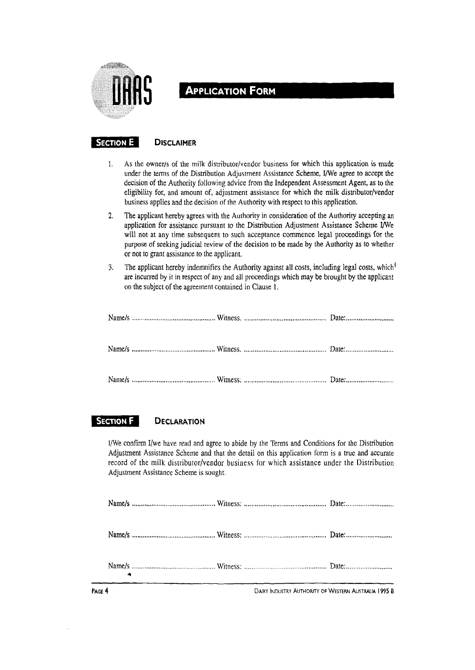

## **ApPLICATION FORM**

#### **SECTION E DISCLAIMER**

- 1. As the owner/s of the milk distributor/vendor business for which this application is made under the terms of the Distribution Adjustment Assistance Scheme, I/We agree to accept the decision of the Authority following advice from the Independent Assessment Agent, as to the eligibility for, and amount of, adjustment assistance for which the milk distributor/vendor business applies and the decision of the Authority with respect to this application.
- 2. The applicant hereby agrees with the Authority in consideration of the Authority accepting an application for assistance pursuant to the Distribution Adjustment Assistance Scheme I/We will not at any time subsequent to such acceptance commence legal proceedings for the purpose of seeking judicial review of the decision to be made by the Authority as to whether or not to grant assistance to the applicant.
- 3. The applicant hereby indemnifies the Authority against all costs, including legal costs, which<sup>1</sup> are incurred by it in respect of any and all proceedings which may be brought by the applicant on the subject of the agreement contained in Clause 1.

#### **SECTION F DECLARATION**

I/We confirm I/we have read and agree to abide by the Terms and Conditions for the Distribution Adjustment Assistance Scheme and that the detail on this application form is a true and accurate record of the milk distributor/vendor business for which assistance under the Distribution Adjustment Assistance Scheme is sought.

DAIRY INDUSTRY AUTHORITY OF WESTERN AUSTRALIA 1995 B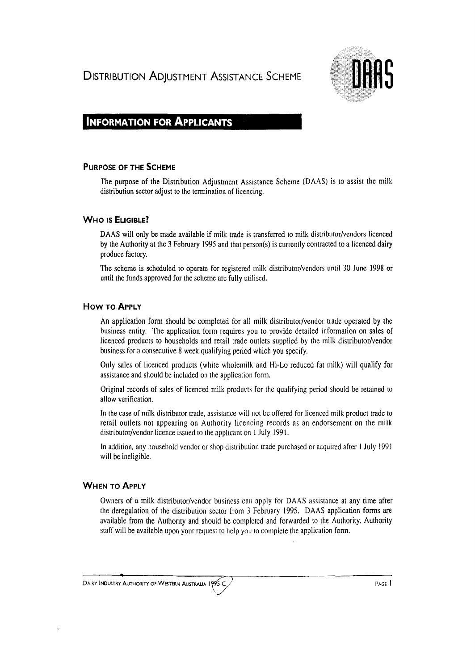**DISTRIBUTION ADJUSTMENT ASSISTANCE SCHEME** 



## **INFORMATION FOR APPLICANTS**

#### **PURPOSE OF THE SCHEME**

The purpose of the Distribution Adjustment Assistance Scheme (DAAS) is to assist the milk distribution sector adjust to the termination of licencing.

#### **WHO IS ELIGIBLE?**

DAAS will only be made available if milk trade is transferred to milk distributor/vendors licenced by the Authority at the 3 February 1995 and that person(s) is cun'ently contracted to a licenced dairy produce factory.

The scheme is scheduled to operate for registered milk distributor/vendors until 30 June 1998 or until the funds approved for the scheme are fully utilised.

#### How TO ApPLY

An application form should be completed for all milk distributor/vendor trade operated by the business entity. The application form requires you to provide detailed information on sales of licenced products to households and retail trade outlets supplied by the milk distributor/vendor business for a consecutive 8 week qualifying period which you specify.

Only sales of licenced products (white wholemilk and Hi-La reduced fat milk) will qualify for assistance and should be included on the application form.

Original records of sales of licenced milk products for the qualifying period should be retained to allow verification.

In the case of milk distributor trade, assistance will not be offered for licenced milk product trade to retail outlets not appearing on Authority licencing records as an endorsement on the milk distributor/vendor licence issued to the applicant on 1 July 1991.

In addition, any household vendor or shop distribution trade purchased or acquired after 1 July 1991 will be ineligible.

#### **WHEN TO ApPLY**

Owners of a milk distributor/vendor business can apply for DAAS assistance at any time after the deregulation of the distribution sector from 3 February 1995. DAAS application forms are available from the Authority and should be completed and forwarded to the Authority. Authority staff will be available upon your request to help you to complete the application form.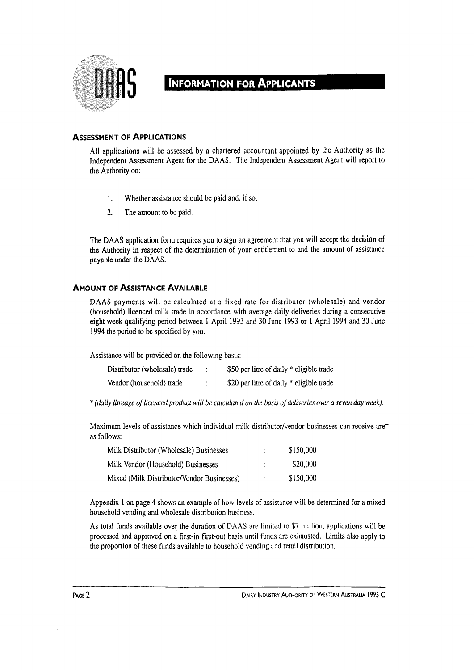

## **INFORMATION FOR APPLICANTS**

#### **ASSESSMENT OF ApPLICATIONS**

All applications will be assessed by a chartered accountant appointed by the Authority as the Independent Assessment Agent for the DAAS. The Independent Assessment Agent will report to the Authority on:

- 1. Whether assistance should be paid and, if so,
- 2. The amount to be paid.

The DAAS application form requires you to sign an agreement that you will accept the decision of the Authority in respect of the determination of your entitlement to and the amount of assistance payable under the DAAS.

#### **AMOUNT OF ASSISTANCE AVAILABLE**

DAAS payments will be calculated at a fixed rate for distributor (wholesale) and vendor (household) licenced milk trade in accordance with average daily deliveries during a consecutive eight week qualifying period between I April 1993 and 30 June 1993 or 1 April 1994 and 30 June 1994 the period to be specified by you.

Assistance will be provided on the following basis:

| Distributor (wholesale) trade | \$50 per litre of daily * eligible trade |
|-------------------------------|------------------------------------------|
| Vendor (household) trade      | \$20 per litre of daily * eligible trade |

\* *(daily lilreage of licenced product will be calculated on the basis of deliveries over a seven* day *week).* 

Maximum levels of assistance which individual milk distributor/vendor businesses can receive are as follows:

| Milk Distributor (Wholesale) Businesses    |   | \$150,000 |
|--------------------------------------------|---|-----------|
| Milk Vendor (Household) Businesses         |   | \$20,000  |
| Mixed (Milk Distributor/Vendor Businesses) | ٠ | \$150,000 |

Appendix 1 on page 4 shows an example of how levels of assistance will be determined for a mixed household vending and wholesale distribution business.

As total funds available over the duration of DAAS are limited to \$7 million, applications will be processed and approved on a first-in first-out basis until funds are exhausted. Limits also apply to the proportion of these funds available to household vending and retail distribution.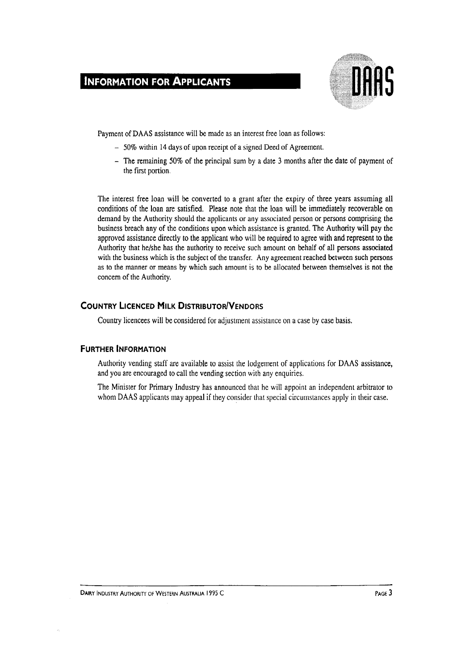### **INFORMATION FOR ApPLICANTS**



Payment of DAAS assistance will be made as an interest free loan as follows:

- 50% within 14 days of upon receipt of a signed Deed of Agreement.
- $-$  The remaining 50% of the principal sum by a date 3 months after the date of payment of the first portion.

The interest free loan will be converted to a grant after the expiry of three years assuming all conditions of the loan are satisfied. Please note that the loan will be immediately recoverable on demand by the Authority should the applicants or any associated person or persons comprising the business breach any of the conditions upon which assistance is granted. The Authority will pay the approved assistance directly to the applicant who will be required to agree with and represent to the Authority that he/she has the authority to receive such amount on behalf of all persons associated with the business which is the subject of the transfer. Any agreement reached between such persons as to the manner or means by which such amount is to be allocated between themselves is not the concem of the Authority.

#### **COUNTRY LICENCED MILK DISTRIBUTOR/VENDORS**

Country licencees will be considered for adjustment assistance on a case by case basis.

#### **FURTHER INFORMATION**

Authority vending staff are available to assist the lodgement of applications for DAAS assistance, and you are encouraged to call the vending section with any enquiries.

The Minister for Primary Industry has announced that he will appoint an independent arbitrator to whom DAAS applicants may appeal if they consider that special circumstances apply in their case.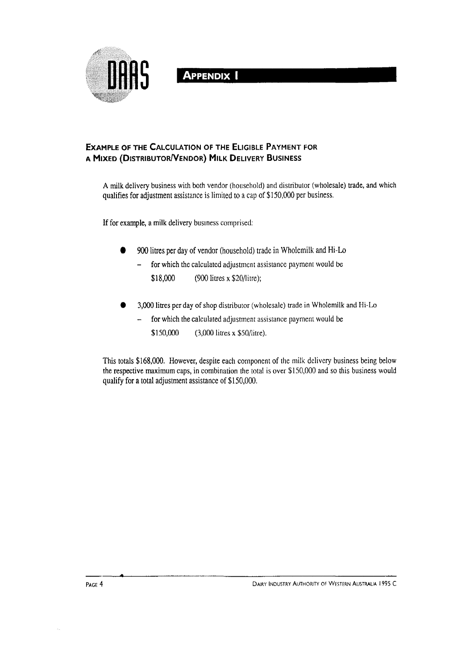

#### **EXAMPLE OF THE CALCULATION OF THE ELIGIBLE PAYMENT FOR A MIXED (DISTRIBUTORIVENDOR) MILK DELIVERY BUSINESS**

A milk delivery business with both vendor (household) and distributor (wholesale) trade, and which qualifies for adjustment assistance is limited to a cap of \$150,000 per business.

If for example, a milk delivery business comprised:

- 900 litres per day of vendor (household) trade in Wholemilk and Hi-Lo
	- for which the calculated adjustment assistance payment would be  $\overline{\phantom{0}}$ \$18,000 (900 litres x \$20/litre);
- 3,000 litres per day of shop distributor (wholesale) trade in Wholemilk and Hi-La
	- for which the calculated adjustment assistance payment would be  $\overline{\phantom{0}}$ 
		- \$150,000 (3,000 litres x \$50/litre).

This totals \$168,000. However, despite each component of the milk delivery business being below the respective maximum caps, in combination the total is over \$150,000 and so this business would qualify for a total adjustment assistance of \$150,000.

**..**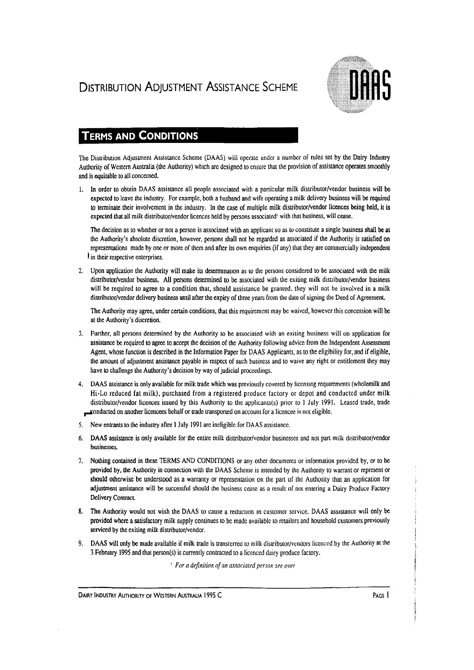# **DISTRIBUTION ADJUSTMENT ASSISTANCE SCHEME**



## **TERMS AND CONDITIONS**

The Distribution Adjustment Assistance Scheme (DAAS) will operate under a number of rules set by the Dairy Industry Authority of Western Australia (the Authority) which are designed to ensure that the provision of assistance operates smoothly and is equitable to all concerned.

1. In order to obtain DAAS assistance all people associated with a particular milk distributor/vendor business will be expected to leave the industry. For example, both a husband and wife operating a milk delivery business will be required to terminate their involvement in the industry. In the case of multiple milk distributor/vendor licences being held, it is expected that all milk distributor/vendor licences held by persons associated' with that business. will cease.

The decision as to whether or not a person is associated with an applicant so as to constitute a single business shall be at the Authority's absolute discretion, however, persons shall not be regarded as associated if the Authority is satisfied on representations made by one or more of them and after its own enquiries (if any) that they are commercially independent I in their respective enterprises.

2. Upon application the Authority will make its determmallon as 10 the persons considered to be associated with the milk distributor/vendor business. All persons determined to be associated with the exiting milk distributor/vendor business will be required to agree to a condition that, should assistance be granted, they will not be involved in a milk distributor/vendor delivery business until after the expiry of three years from the date of signing the Deed of Agreement.

The Authority may agree, under certain conditions, that this requirement may be waived, however this concession will be at the Authority's discretion.

- 3. Further, all persons determined by the Authority to be associated with an exiting business will on application for assistance be required to agree to accept the decision of the Authority following advice from the Independent Assessment Agent, whose function is described in the Information Paper for DAAS Applicants, as to the eligibility for, and if eligible, the amount of adjustment assistance payable in respect of such business and to waive any right or entitlement they may have to challenge the Authority's decision by way of judicial proceedings.
- 4. DAAS assistance is only available for milk trade which was previously covered by licensing requirements (wholemilk and Hi·Lo reduced fat milk), purchased from a registered produce factory or depot and conducted under milk distributor/vendor licences issued by this Authority to the applicants(s) prior to 1 July 1991. Leased trade, trade ~onducted on another Iicencees behalf or trade transported on account for a licencee is not eligible.
- 5. New entrants to the industry after 1 July 1991 are ineligible for DAAS assistance.
- 6. DAAS assistance is only available for the entire milk distributor/vendor businesses and not part milk distributor/vendor businesses.
- 7. Nothing contained in these TERMS AND CONDITIONS or any other documents or information provided by, or to be provided by, the Authority in connection with the DAAS Scheme is intended by the Authority to warrant or represent or should otherwise be understood as a warranty or representation on the part of the Authority that an application for adjustment assistance will be successful should the business cease as a result of not entering a Dairy Produce Factory Delivery Contract
- 8. The Authority would not wish the DAAS to cause a reduction in customer service. DAAS assistance will only be provided where a satisfactory milk supply continues to be made available to retailers and household customers previously serviced by the exiting milk distributor/vendor.
- 9. DAAS will only be made available if milk trade is transterred to milk distributor/vendors licenced by the Authority at the 3 February 1995 and that person(s) is currently contracted to a licenced dairy produce factory.

<sup>I</sup>*For a definition of an associated person see over* 

DAIRY INDUSTRY AUTHORITY OF WESTERN AUSTRALIA 1995 C<br>
PAGE 1